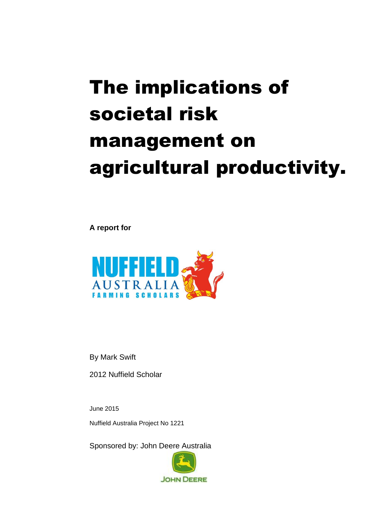# The implications of societal risk management on agricultural productivity.

**A report for**



By Mark Swift

2012 Nuffield Scholar

June 2015 Nuffield Australia Project No 1221

Sponsored by: John Deere Australia

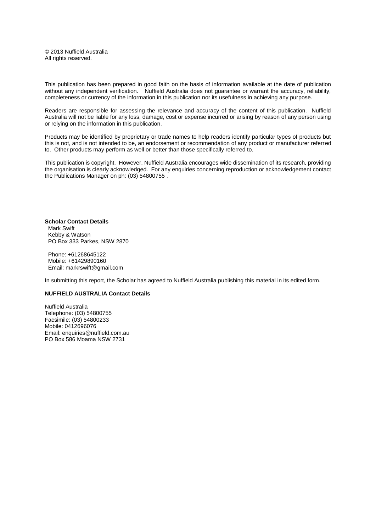© 2013 Nuffield Australia All rights reserved.

This publication has been prepared in good faith on the basis of information available at the date of publication without any independent verification. Nuffield Australia does not guarantee or warrant the accuracy, reliability, completeness or currency of the information in this publication nor its usefulness in achieving any purpose.

Readers are responsible for assessing the relevance and accuracy of the content of this publication. Nuffield Australia will not be liable for any loss, damage, cost or expense incurred or arising by reason of any person using or relying on the information in this publication.

Products may be identified by proprietary or trade names to help readers identify particular types of products but this is not, and is not intended to be, an endorsement or recommendation of any product or manufacturer referred to. Other products may perform as well or better than those specifically referred to.

This publication is copyright. However, Nuffield Australia encourages wide dissemination of its research, providing the organisation is clearly acknowledged. For any enquiries concerning reproduction or acknowledgement contact the Publications Manager on ph: (03) 54800755 .

**Scholar Contact Details** Mark Swift Kebby & Watson PO Box 333 Parkes, NSW 2870

Phone: +61268645122 Mobile: +61429890160 Email: markrswift@gmail.com

In submitting this report, the Scholar has agreed to Nuffield Australia publishing this material in its edited form.

#### **NUFFIELD AUSTRALIA Contact Details**

Nuffield Australia Telephone: (03) 54800755 Facsimile: (03) 54800233 Mobile: 0412696076 Email: enquiries@nuffield.com.au PO Box 586 Moama NSW 2731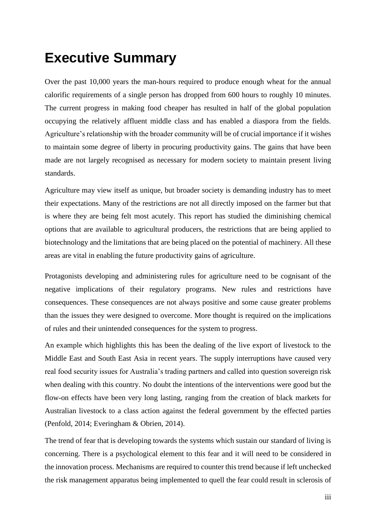# <span id="page-2-0"></span>**Executive Summary**

Over the past 10,000 years the man-hours required to produce enough wheat for the annual calorific requirements of a single person has dropped from 600 hours to roughly 10 minutes. The current progress in making food cheaper has resulted in half of the global population occupying the relatively affluent middle class and has enabled a diaspora from the fields. Agriculture's relationship with the broader community will be of crucial importance if it wishes to maintain some degree of liberty in procuring productivity gains. The gains that have been made are not largely recognised as necessary for modern society to maintain present living standards.

Agriculture may view itself as unique, but broader society is demanding industry has to meet their expectations. Many of the restrictions are not all directly imposed on the farmer but that is where they are being felt most acutely. This report has studied the diminishing chemical options that are available to agricultural producers, the restrictions that are being applied to biotechnology and the limitations that are being placed on the potential of machinery. All these areas are vital in enabling the future productivity gains of agriculture.

Protagonists developing and administering rules for agriculture need to be cognisant of the negative implications of their regulatory programs. New rules and restrictions have consequences. These consequences are not always positive and some cause greater problems than the issues they were designed to overcome. More thought is required on the implications of rules and their unintended consequences for the system to progress.

An example which highlights this has been the dealing of the live export of livestock to the Middle East and South East Asia in recent years. The supply interruptions have caused very real food security issues for Australia's trading partners and called into question sovereign risk when dealing with this country. No doubt the intentions of the interventions were good but the flow-on effects have been very long lasting, ranging from the creation of black markets for Australian livestock to a class action against the federal government by the effected parties (Penfold, 2014; Everingham & Obrien, 2014).

The trend of fear that is developing towards the systems which sustain our standard of living is concerning. There is a psychological element to this fear and it will need to be considered in the innovation process. Mechanisms are required to counter this trend because if left unchecked the risk management apparatus being implemented to quell the fear could result in sclerosis of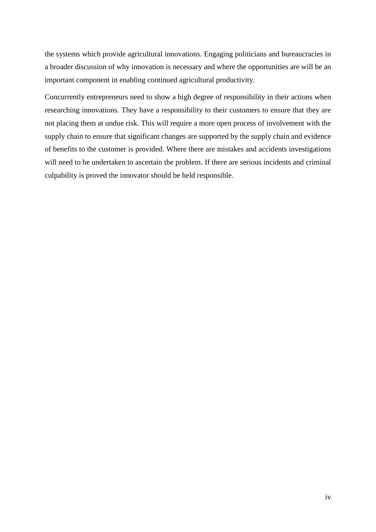the systems which provide agricultural innovations. Engaging politicians and bureaucracies in a broader discussion of why innovation is necessary and where the opportunities are will be an important component in enabling continued agricultural productivity.

Concurrently entrepreneurs need to show a high degree of responsibility in their actions when researching innovations. They have a responsibility to their customers to ensure that they are not placing them at undue risk. This will require a more open process of involvement with the supply chain to ensure that significant changes are supported by the supply chain and evidence of benefits to the customer is provided. Where there are mistakes and accidents investigations will need to be undertaken to ascertain the problem. If there are serious incidents and criminal culpability is proved the innovator should be held responsible.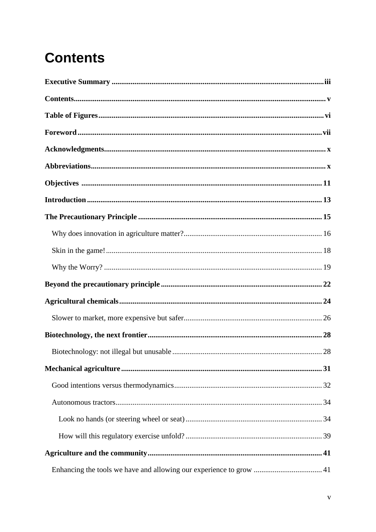# <span id="page-4-0"></span>**Contents**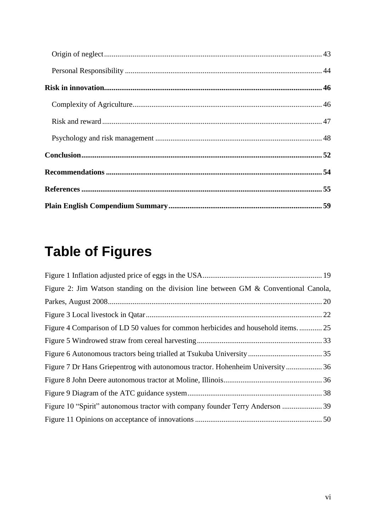# <span id="page-5-0"></span>**Table of Figures**

| Figure 2: Jim Watson standing on the division line between GM & Conventional Canola, |  |
|--------------------------------------------------------------------------------------|--|
|                                                                                      |  |
|                                                                                      |  |
| Figure 4 Comparison of LD 50 values for common herbicides and household items 25     |  |
|                                                                                      |  |
|                                                                                      |  |
| Figure 7 Dr Hans Griepentrog with autonomous tractor. Hohenheim University36         |  |
|                                                                                      |  |
|                                                                                      |  |
|                                                                                      |  |
|                                                                                      |  |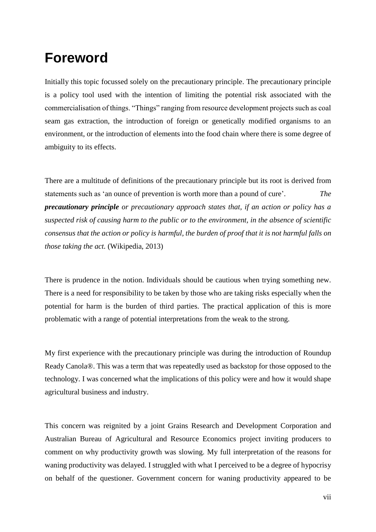# <span id="page-6-0"></span>**Foreword**

Initially this topic focussed solely on the precautionary principle. The precautionary principle is a policy tool used with the intention of limiting the potential risk associated with the commercialisation of things. "Things" ranging from resource development projects such as coal seam gas extraction, the introduction of foreign or genetically modified organisms to an environment, or the introduction of elements into the food chain where there is some degree of ambiguity to its effects.

There are a multitude of definitions of the precautionary principle but its root is derived from statements such as 'an ounce of prevention is worth more than a pound of cure'. *The precautionary principle or precautionary approach states that, if an action or policy has a suspected risk of causing harm to the [public](http://en.wikipedia.org/wiki/General_public) or to the [environment,](http://en.wikipedia.org/wiki/Natural_environment) in the absence of [scientific](http://en.wikipedia.org/wiki/Scientific_consensus)  [consensus](http://en.wikipedia.org/wiki/Scientific_consensus) that the action or policy is harmful, the [burden of proof](http://en.wikipedia.org/wiki/Legal_burden_of_proof) that it is not harmful falls on those taking the act.* (Wikipedia, 2013)

There is prudence in the notion. Individuals should be cautious when trying something new. There is a need for responsibility to be taken by those who are taking risks especially when the potential for harm is the burden of third parties. The practical application of this is more problematic with a range of potential interpretations from the weak to the strong.

My first experience with the precautionary principle was during the introduction of Roundup Ready Canola®. This was a term that was repeatedly used as backstop for those opposed to the technology. I was concerned what the implications of this policy were and how it would shape agricultural business and industry.

This concern was reignited by a joint Grains Research and Development Corporation and Australian Bureau of Agricultural and Resource Economics project inviting producers to comment on why productivity growth was slowing. My full interpretation of the reasons for waning productivity was delayed. I struggled with what I perceived to be a degree of hypocrisy on behalf of the questioner. Government concern for waning productivity appeared to be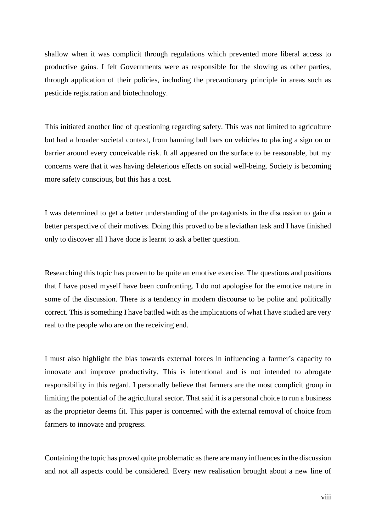shallow when it was complicit through regulations which prevented more liberal access to productive gains. I felt Governments were as responsible for the slowing as other parties, through application of their policies, including the precautionary principle in areas such as pesticide registration and biotechnology.

This initiated another line of questioning regarding safety. This was not limited to agriculture but had a broader societal context, from banning bull bars on vehicles to placing a sign on or barrier around every conceivable risk. It all appeared on the surface to be reasonable, but my concerns were that it was having deleterious effects on social well-being. Society is becoming more safety conscious, but this has a cost.

I was determined to get a better understanding of the protagonists in the discussion to gain a better perspective of their motives. Doing this proved to be a leviathan task and I have finished only to discover all I have done is learnt to ask a better question.

Researching this topic has proven to be quite an emotive exercise. The questions and positions that I have posed myself have been confronting. I do not apologise for the emotive nature in some of the discussion. There is a tendency in modern discourse to be polite and politically correct. This is something I have battled with as the implications of what I have studied are very real to the people who are on the receiving end.

I must also highlight the bias towards external forces in influencing a farmer's capacity to innovate and improve productivity. This is intentional and is not intended to abrogate responsibility in this regard. I personally believe that farmers are the most complicit group in limiting the potential of the agricultural sector. That said it is a personal choice to run a business as the proprietor deems fit. This paper is concerned with the external removal of choice from farmers to innovate and progress.

Containing the topic has proved quite problematic as there are many influences in the discussion and not all aspects could be considered. Every new realisation brought about a new line of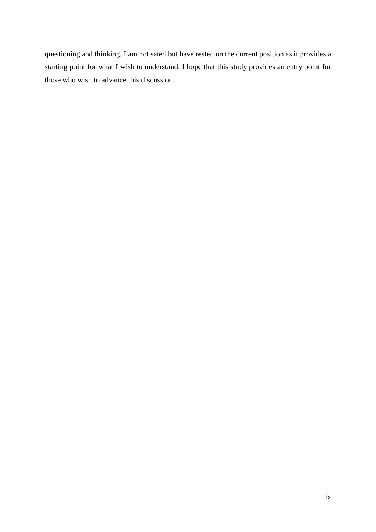questioning and thinking. I am not sated but have rested on the current position as it provides a starting point for what I wish to understand. I hope that this study provides an entry point for those who wish to advance this discussion.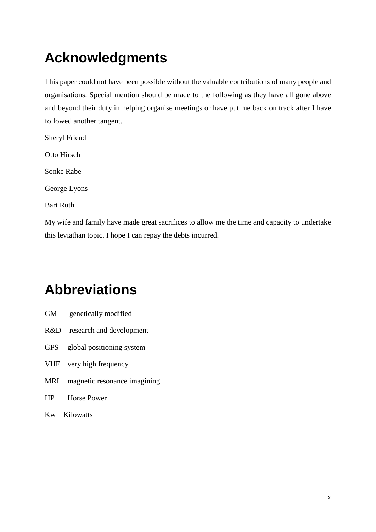# <span id="page-9-0"></span>**Acknowledgments**

This paper could not have been possible without the valuable contributions of many people and organisations. Special mention should be made to the following as they have all gone above and beyond their duty in helping organise meetings or have put me back on track after I have followed another tangent.

Sheryl Friend Otto Hirsch Sonke Rabe George Lyons Bart Ruth

My wife and family have made great sacrifices to allow me the time and capacity to undertake this leviathan topic. I hope I can repay the debts incurred.

# <span id="page-9-1"></span>**Abbreviations**

- GM genetically modified
- R&D research and development
- GPS global positioning system
- VHF very high frequency
- MRI magnetic resonance imagining
- HP Horse Power
- Kw Kilowatts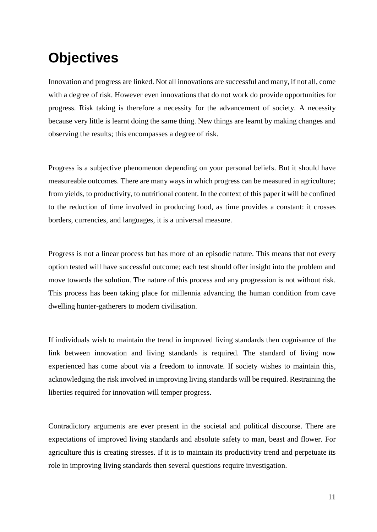# <span id="page-10-0"></span>**Objectives**

Innovation and progress are linked. Not all innovations are successful and many, if not all, come with a degree of risk. However even innovations that do not work do provide opportunities for progress. Risk taking is therefore a necessity for the advancement of society. A necessity because very little is learnt doing the same thing. New things are learnt by making changes and observing the results; this encompasses a degree of risk.

Progress is a subjective phenomenon depending on your personal beliefs. But it should have measureable outcomes. There are many ways in which progress can be measured in agriculture; from yields, to productivity, to nutritional content. In the context of this paper it will be confined to the reduction of time involved in producing food, as time provides a constant: it crosses borders, currencies, and languages, it is a universal measure.

Progress is not a linear process but has more of an episodic nature. This means that not every option tested will have successful outcome; each test should offer insight into the problem and move towards the solution. The nature of this process and any progression is not without risk. This process has been taking place for millennia advancing the human condition from cave dwelling hunter-gatherers to modern civilisation.

If individuals wish to maintain the trend in improved living standards then cognisance of the link between innovation and living standards is required. The standard of living now experienced has come about via a freedom to innovate. If society wishes to maintain this, acknowledging the risk involved in improving living standards will be required. Restraining the liberties required for innovation will temper progress.

Contradictory arguments are ever present in the societal and political discourse. There are expectations of improved living standards and absolute safety to man, beast and flower. For agriculture this is creating stresses. If it is to maintain its productivity trend and perpetuate its role in improving living standards then several questions require investigation.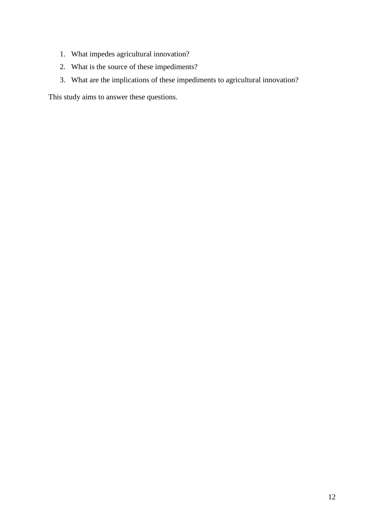- 1. What impedes agricultural innovation?
- 2. What is the source of these impediments?
- 3. What are the implications of these impediments to agricultural innovation?

This study aims to answer these questions.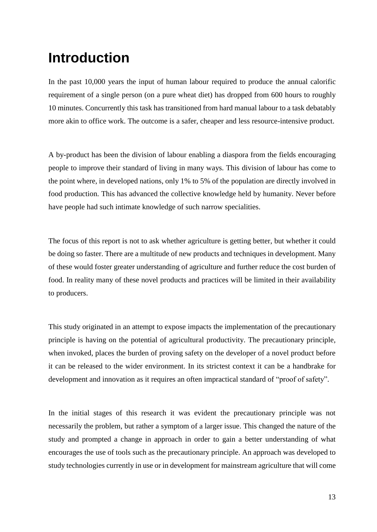# <span id="page-12-0"></span>**Introduction**

In the past 10,000 years the input of human labour required to produce the annual calorific requirement of a single person (on a pure wheat diet) has dropped from 600 hours to roughly 10 minutes. Concurrently this task has transitioned from hard manual labour to a task debatably more akin to office work. The outcome is a safer, cheaper and less resource-intensive product.

A by-product has been the division of labour enabling a diaspora from the fields encouraging people to improve their standard of living in many ways. This division of labour has come to the point where, in developed nations, only 1% to 5% of the population are directly involved in food production. This has advanced the collective knowledge held by humanity. Never before have people had such intimate knowledge of such narrow specialities.

The focus of this report is not to ask whether agriculture is getting better, but whether it could be doing so faster. There are a multitude of new products and techniques in development. Many of these would foster greater understanding of agriculture and further reduce the cost burden of food. In reality many of these novel products and practices will be limited in their availability to producers.

This study originated in an attempt to expose impacts the implementation of the precautionary principle is having on the potential of agricultural productivity. The precautionary principle, when invoked, places the burden of proving safety on the developer of a novel product before it can be released to the wider environment. In its strictest context it can be a handbrake for development and innovation as it requires an often impractical standard of "proof of safety".

In the initial stages of this research it was evident the precautionary principle was not necessarily the problem, but rather a symptom of a larger issue. This changed the nature of the study and prompted a change in approach in order to gain a better understanding of what encourages the use of tools such as the precautionary principle. An approach was developed to study technologies currently in use or in development for mainstream agriculture that will come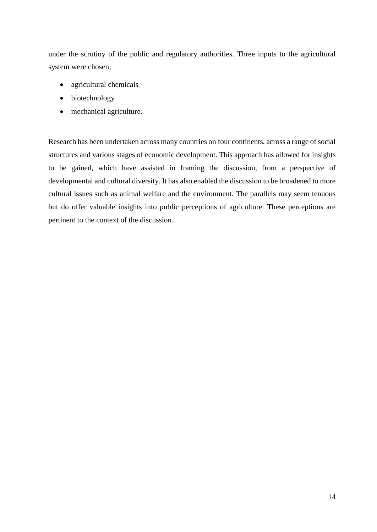under the scrutiny of the public and regulatory authorities. Three inputs to the agricultural system were chosen;

- agricultural chemicals
- biotechnology
- mechanical agriculture.

Research has been undertaken across many countries on four continents, across a range of social structures and various stages of economic development. This approach has allowed for insights to be gained, which have assisted in framing the discussion, from a perspective of developmental and cultural diversity. It has also enabled the discussion to be broadened to more cultural issues such as animal welfare and the environment. The parallels may seem tenuous but do offer valuable insights into public perceptions of agriculture. These perceptions are pertinent to the context of the discussion.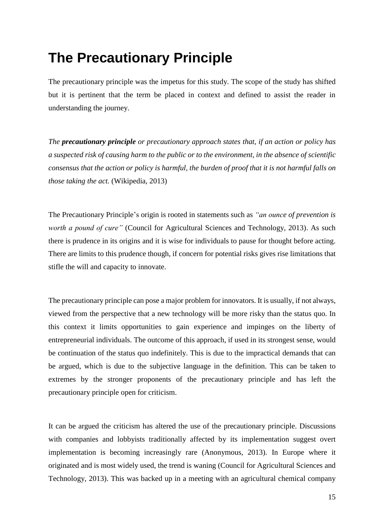# <span id="page-14-0"></span>**The Precautionary Principle**

The precautionary principle was the impetus for this study. The scope of the study has shifted but it is pertinent that the term be placed in context and defined to assist the reader in understanding the journey.

*The precautionary principle or precautionary approach states that, if an action or policy has a suspected risk of causing harm to the [public](http://en.wikipedia.org/wiki/General_public) or to the [environment,](http://en.wikipedia.org/wiki/Natural_environment) in the absence of [scientific](http://en.wikipedia.org/wiki/Scientific_consensus)  [consensus](http://en.wikipedia.org/wiki/Scientific_consensus) that the action or policy is harmful, the [burden of proof](http://en.wikipedia.org/wiki/Legal_burden_of_proof) that it is not harmful falls on those taking the act.* (Wikipedia, 2013)

The Precautionary Principle's origin is rooted in statements such as *"an ounce of prevention is worth a pound of cure*" (Council for Agricultural Sciences and Technology, 2013). As such there is prudence in its origins and it is wise for individuals to pause for thought before acting. There are limits to this prudence though, if concern for potential risks gives rise limitations that stifle the will and capacity to innovate.

The precautionary principle can pose a major problem for innovators. It is usually, if not always, viewed from the perspective that a new technology will be more risky than the status quo. In this context it limits opportunities to gain experience and impinges on the liberty of entrepreneurial individuals. The outcome of this approach, if used in its strongest sense, would be continuation of the status quo indefinitely. This is due to the impractical demands that can be argued, which is due to the subjective language in the definition. This can be taken to extremes by the stronger proponents of the precautionary principle and has left the precautionary principle open for criticism.

It can be argued the criticism has altered the use of the precautionary principle. Discussions with companies and lobbyists traditionally affected by its implementation suggest overt implementation is becoming increasingly rare (Anonymous, 2013). In Europe where it originated and is most widely used, the trend is waning [\(Council for Agricultural Sciences and](http://www.cast-science.org/publications/?impact_of_the_precautionary_principle_on_feeding_current_and_future_generations&show=product&productID=276208) [Technology,](http://www.cast-science.org/publications/?impact_of_the_precautionary_principle_on_feeding_current_and_future_generations&show=product&productID=276208) 2013). This was backed up in a meeting with an agricultural chemical company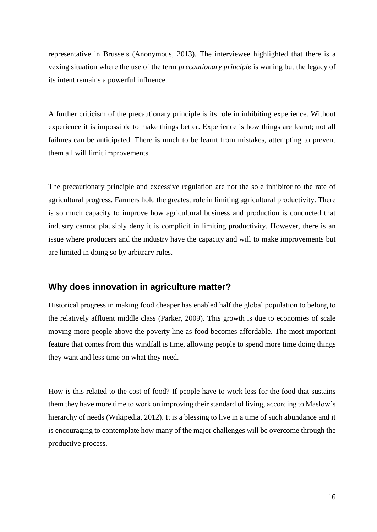representative in Brussels (Anonymous, 2013). The interviewee highlighted that there is a vexing situation where the use of the term *precautionary principle* is waning but the legacy of its intent remains a powerful influence.

A further criticism of the precautionary principle is its role in inhibiting experience. Without experience it is impossible to make things better. Experience is how things are learnt; not all failures can be anticipated. There is much to be learnt from mistakes, attempting to prevent them all will limit improvements.

The precautionary principle and excessive regulation are not the sole inhibitor to the rate of agricultural progress. Farmers hold the greatest role in limiting agricultural productivity. There is so much capacity to improve how agricultural business and production is conducted that industry cannot plausibly deny it is complicit in limiting productivity. However, there is an issue where producers and the industry have the capacity and will to make improvements but are limited in doing so by arbitrary rules.

#### <span id="page-15-0"></span>**Why does innovation in agriculture matter?**

Historical progress in making food cheaper has enabled half the global population to belong to the relatively affluent middle class (Parker, 2009). This growth is due to economies of scale moving more people above the poverty line as food becomes affordable. The most important feature that comes from this windfall is time, allowing people to spend more time doing things they want and less time on what they need.

How is this related to the cost of food? If people have to work less for the food that sustains them they have more time to work on improving their standard of living, according to [Maslow's](http://en.wikipedia.org/wiki/Maslow)  [hierarchy of needs](http://en.wikipedia.org/wiki/Maslow) (Wikipedia, 2012). It is a blessing to live in a time of such abundance and it is encouraging to contemplate how many of the major challenges will be overcome through the productive process.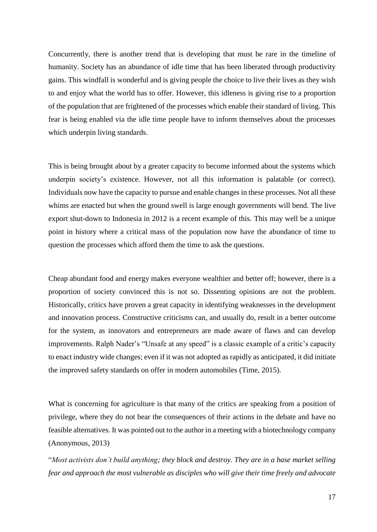Concurrently, there is another trend that is developing that must be rare in the timeline of humanity. Society has an abundance of idle time that has been liberated through productivity gains. This windfall is wonderful and is giving people the choice to live their lives as they wish to and enjoy what the world has to offer. However, this idleness is giving rise to a proportion of the population that are frightened of the processes which enable their standard of living. This fear is being enabled via the idle time people have to inform themselves about the processes which underpin living standards.

This is being brought about by a greater capacity to become informed about the systems which underpin society's existence. However, not all this information is palatable (or correct). Individuals now have the capacity to pursue and enable changes in these processes. Not all these whims are enacted but when the ground swell is large enough governments will bend. The live export shut-down to Indonesia in 2012 is a recent example of this. This may well be a unique point in history where a critical mass of the population now have the abundance of time to question the processes which afford them the time to ask the questions.

Cheap abundant food and energy makes everyone wealthier and better off; however, there is a proportion of society convinced this is not so. Dissenting opinions are not the problem. Historically, critics have proven a great capacity in identifying weaknesses in the development and innovation process. Constructive criticisms can, and usually do, result in a better outcome for the system, as innovators and entrepreneurs are made aware of flaws and can develop improvements. Ralph Nader's "Unsafe at any speed" is a classic example of a critic's capacity to enact industry wide changes; even if it was not adopted as rapidly as anticipated, it did initiate the improved safety standards on offer in modern automobiles (Time, 2015).

What is concerning for agriculture is that many of the critics are speaking from a position of privilege, where they do not bear the consequences of their actions in the debate and have no feasible alternatives. It was pointed out to the author in a meeting with a biotechnology company (Anonymous, 2013)

"*Most activists don't build anything; they block and destroy. They are in a base market selling fear and approach the most vulnerable as disciples who will give their time freely and advocate*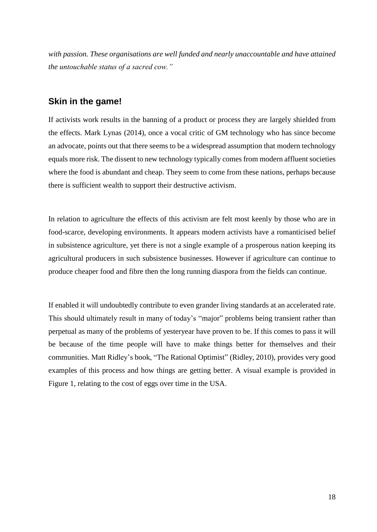*with passion. These organisations are well funded and nearly unaccountable and have attained the untouchable status of a sacred cow."*

#### <span id="page-17-0"></span>**Skin in the game!**

If activists work results in the banning of a product or process they are largely shielded from the effects. [Mark Lynas](http://en.wikipedia.org/wiki/Mark_Lynas) (2014), once a vocal critic of GM technology who has since become an advocate, points out that there seems to be a widespread assumption that modern technology equals more risk. The dissent to new technology typically comes from modern affluent societies where the food is abundant and cheap. They seem to come from these nations, perhaps because there is sufficient wealth to support their destructive activism.

In relation to agriculture the effects of this activism are felt most keenly by those who are in food-scarce, developing environments. It appears modern activists have a romanticised belief in subsistence agriculture, yet there is not a single example of a prosperous nation keeping its agricultural producers in such subsistence businesses. However if agriculture can continue to produce cheaper food and fibre then the long running diaspora from the fields can continue.

If enabled it will undoubtedly contribute to even grander living standards at an accelerated rate. This should ultimately result in many of today's "major" problems being transient rather than perpetual as many of the problems of yesteryear have proven to be. If this comes to pass it will be because of the time people will have to make things better for themselves and their communities. Matt Ridley's book, "The [Rational Optimist"](http://www.rationaloptimist.com/publications/the-rational-optimist-how-prosperity-evolves.aspx) (Ridley, 2010), provides very good examples of this process and how things are getting better. A visual example is provided in Figure 1, relating to the cost of eggs over time in the USA.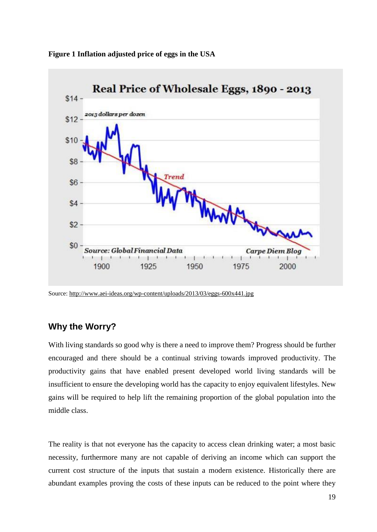

<span id="page-18-1"></span>**Figure 1 Inflation adjusted price of eggs in the USA**

Source[: http://www.aei-ideas.org/wp-content/uploads/2013/03/eggs-600x441.jpg](http://www.aei-ideas.org/wp-content/uploads/2013/03/eggs-600x441.jpg)

#### <span id="page-18-0"></span>**Why the Worry?**

With living standards so good why is there a need to improve them? Progress should be further encouraged and there should be a continual striving towards improved productivity. The productivity gains that have enabled present developed world living standards will be insufficient to ensure the developing world has the capacity to enjoy equivalent lifestyles. New gains will be required to help lift the remaining proportion of the global population into the middle class.

The reality is that not everyone has the capacity to access clean drinking water; a most basic necessity, furthermore many are not capable of deriving an income which can support the current cost structure of the inputs that sustain a modern existence. Historically there are abundant examples proving the costs of these inputs can be reduced to the point where they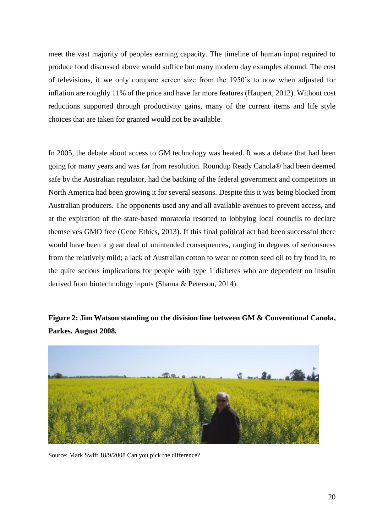meet the vast majority of peoples earning capacity. The timeline of human input required to produce food discussed above would suffice but many modern day examples abound. The cost of televisions, if we only compare screen size from the 1950's to now when adjusted for inflation are roughly 11% of the price and have far more features (Haupert, 2012). Without cost reductions supported through productivity gains, many of the current items and life style choices that are taken for granted would not be available.

In 2005, the debate about access to GM technology was heated. It was a debate that had been going for many years and was far from resolution. Roundup Ready Canola® had been deemed safe by the Australian regulator, had the backing of the federal government and competitors in North America had been growing it for several seasons. Despite this it was being blocked from Australian producers. The opponents used any and all available avenues to prevent access, and at the expiration of the state-based moratoria resorted to lobbying local councils to declare themselves GMO free (Gene Ethics, 2013). If this final political act had been successful there would have been a great deal of unintended consequences, ranging in degrees of seriousness from the relatively mild; a lack of Australian cotton to wear or cotton seed oil to fry food in, to the quite serious implications for people with type 1 diabetes who are dependent on insulin derived from biotechnology inputs (Shama & Peterson, 2014).

<span id="page-19-0"></span>**Figure 2: Jim Watson standing on the division line between GM & Conventional Canola, Parkes. August 2008.**



Source: Mark Swift 18/9/2008 Can you pick the difference?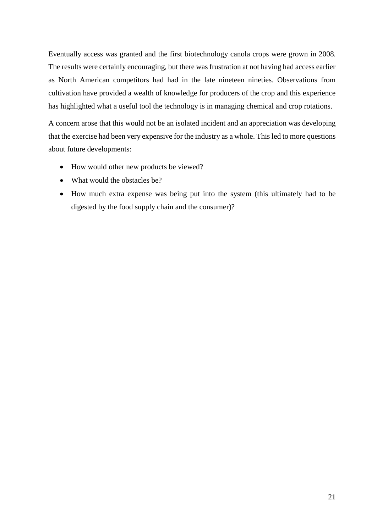Eventually access was granted and the first biotechnology canola crops were grown in 2008. The results were certainly encouraging, but there was frustration at not having had access earlier as North American competitors had had in the late nineteen nineties. Observations from cultivation have provided a wealth of knowledge for producers of the crop and this experience has highlighted what a useful tool the technology is in managing chemical and crop rotations.

A concern arose that this would not be an isolated incident and an appreciation was developing that the exercise had been very expensive for the industry as a whole. This led to more questions about future developments:

- How would other new products be viewed?
- What would the obstacles be?
- How much extra expense was being put into the system (this ultimately had to be digested by the food supply chain and the consumer)?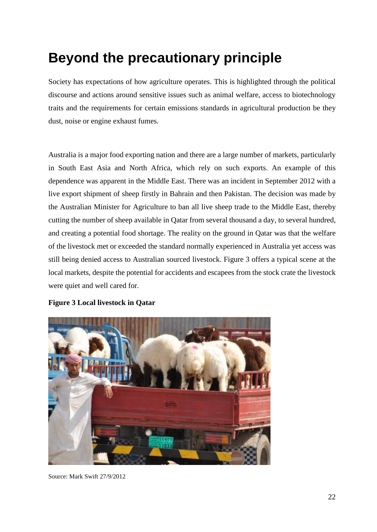# <span id="page-21-0"></span>**Beyond the precautionary principle**

Society has expectations of how agriculture operates. This is highlighted through the political discourse and actions around sensitive issues such as animal welfare, access to biotechnology traits and the requirements for certain emissions standards in agricultural production be they dust, noise or engine exhaust fumes.

Australia is a major food exporting nation and there are a large number of markets, particularly in South East Asia and North Africa, which rely on such exports. An example of this dependence was apparent in the Middle East. There was an incident in September 2012 with a live export shipment of sheep firstly in Bahrain and then Pakistan. The decision was made by the Australian Minister for Agriculture to ban all live sheep trade to the Middle East, thereby cutting the number of sheep available in Qatar from several thousand a day, to several hundred, and creating a potential food shortage. The reality on the ground in Qatar was that the welfare of the livestock met or exceeded the standard normally experienced in Australia yet access was still being denied access to Australian sourced livestock. Figure 3 offers a typical scene at the local markets, despite the potential for accidents and escapees from the stock crate the livestock were quiet and well cared for.



#### <span id="page-21-1"></span>**Figure 3 Local livestock in Qatar**

Source: Mark Swift 27/9/2012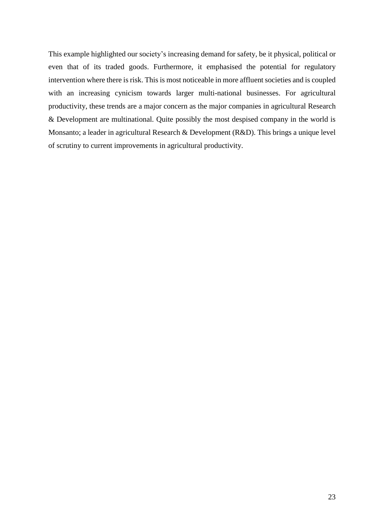This example highlighted our society's increasing demand for safety, be it physical, political or even that of its traded goods. Furthermore, it emphasised the potential for regulatory intervention where there is risk. This is most noticeable in more affluent societies and is coupled with an increasing cynicism towards larger multi-national businesses. For agricultural productivity, these trends are a major concern as the major companies in agricultural Research & Development are multinational. Quite possibly the most despised company in the world is Monsanto; a leader in agricultural Research & Development (R&D). This brings a unique level of scrutiny to current improvements in agricultural productivity.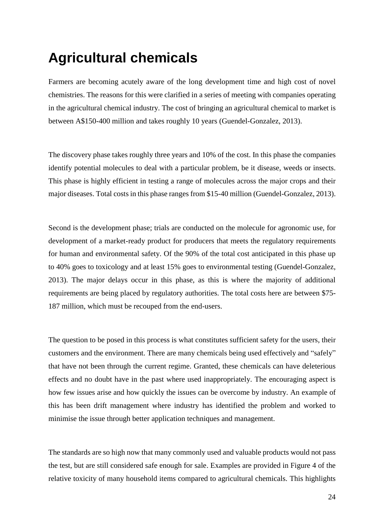# <span id="page-23-0"></span>**Agricultural chemicals**

Farmers are becoming acutely aware of the long development time and high cost of novel chemistries. The reasons for this were clarified in a series of meeting with companies operating in the agricultural chemical industry. The cost of bringing an agricultural chemical to market is between A\$150-400 million and takes roughly 10 years (Guendel-Gonzalez, 2013).

The discovery phase takes roughly three years and 10% of the cost. In this phase the companies identify potential molecules to deal with a particular problem, be it disease, weeds or insects. This phase is highly efficient in testing a range of molecules across the major crops and their major diseases. Total costs in this phase ranges from \$15-40 million (Guendel-Gonzalez, 2013).

Second is the development phase; trials are conducted on the molecule for agronomic use, for development of a market-ready product for producers that meets the regulatory requirements for human and environmental safety. Of the 90% of the total cost anticipated in this phase up to 40% goes to toxicology and at least 15% goes to environmental testing (Guendel-Gonzalez, 2013). The major delays occur in this phase, as this is where the majority of additional requirements are being placed by regulatory authorities. The total costs here are between \$75- 187 million, which must be recouped from the end-users.

The question to be posed in this process is what constitutes sufficient safety for the users, their customers and the environment. There are many chemicals being used effectively and "safely" that have not been through the current regime. Granted, these chemicals can have deleterious effects and no doubt have in the past where used inappropriately. The encouraging aspect is how few issues arise and how quickly the issues can be overcome by industry. An example of this has been drift management where industry has identified the problem and worked to minimise the issue through better application techniques and management.

The standards are so high now that many commonly used and valuable products would not pass the test, but are still considered safe enough for sale. Examples are provided in Figure 4 of the relative toxicity of many household items compared to agricultural chemicals. This highlights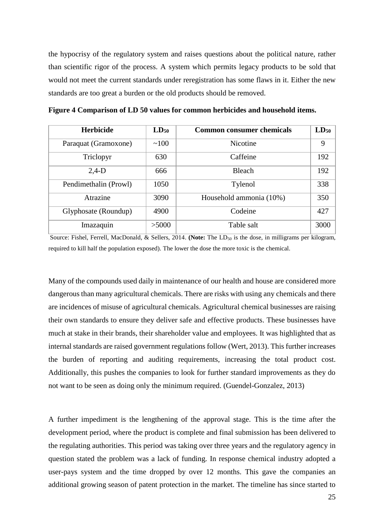the hypocrisy of the regulatory system and raises questions about the political nature, rather than scientific rigor of the process. A system which permits legacy products to be sold that would not meet the current standards under reregistration has some flaws in it. Either the new standards are too great a burden or the old products should be removed.

| <b>Herbicide</b>      | $LD_{50}$ | <b>Common consumer chemicals</b> | $LD_{50}$ |
|-----------------------|-----------|----------------------------------|-----------|
| Paraquat (Gramoxone)  | ~100      | Nicotine                         | 9         |
| Triclopyr             | 630       | Caffeine                         | 192       |
| $2,4-D$               | 666       | <b>Bleach</b>                    | 192       |
| Pendimethalin (Prowl) | 1050      | Tylenol                          | 338       |
| Atrazine              | 3090      | Household ammonia (10%)          | 350       |
| Glyphosate (Roundup)  | 4900      | Codeine                          | 427       |
| Imazaquin             | >5000     | Table salt                       | 3000      |

<span id="page-24-0"></span>**Figure 4 Comparison of LD 50 values for common herbicides and household items.**

Source: Fishel, Ferrell, MacDonald, & Sellers, 2014. **(Note:** The LD<sub>50</sub> is the dose, in milligrams per kilogram, required to kill half the population exposed). The lower the dose the more toxic is the chemical.

Many of the compounds used daily in maintenance of our health and house are considered more dangerous than many agricultural chemicals. There are risks with using any chemicals and there are incidences of misuse of agricultural chemicals. Agricultural chemical businesses are raising their own standards to ensure they deliver safe and effective products. These businesses have much at stake in their brands, their shareholder value and employees. It was highlighted that as internal standards are raised government regulations follow (Wert, 2013). This further increases the burden of reporting and auditing requirements, increasing the total product cost. Additionally, this pushes the companies to look for further standard improvements as they do not want to be seen as doing only the minimum required. (Guendel-Gonzalez, 2013)

A further impediment is the lengthening of the approval stage. This is the time after the development period, where the product is complete and final submission has been delivered to the regulating authorities. This period was taking over three years and the regulatory agency in question stated the problem was a lack of funding. In response chemical industry adopted a user-pays system and the time dropped by over 12 months. This gave the companies an additional growing season of patent protection in the market. The timeline has since started to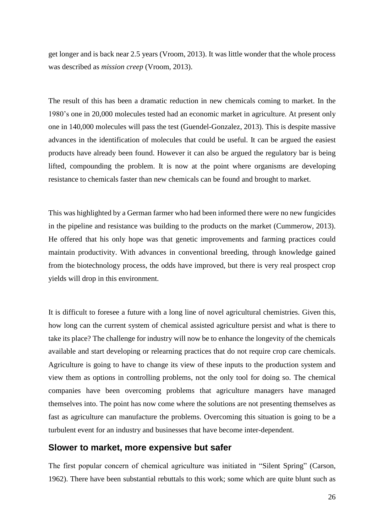get longer and is back near 2.5 years (Vroom, 2013). It was little wonder that the whole process was described as *mission creep* (Vroom, 2013).

The result of this has been a dramatic reduction in new chemicals coming to market. In the 1980's one in 20,000 molecules tested had an economic market in agriculture. At present only one in 140,000 molecules will pass the test (Guendel-Gonzalez, 2013). This is despite massive advances in the identification of molecules that could be useful. It can be argued the easiest products have already been found. However it can also be argued the regulatory bar is being lifted, compounding the problem. It is now at the point where organisms are developing resistance to chemicals faster than new chemicals can be found and brought to market.

This was highlighted by a German farmer who had been informed there were no new fungicides in the pipeline and resistance was building to the products on the market (Cummerow, 2013). He offered that his only hope was that genetic improvements and farming practices could maintain productivity. With advances in conventional breeding, through knowledge gained from the biotechnology process, the odds have improved, but there is very real prospect crop yields will drop in this environment.

It is difficult to foresee a future with a long line of novel agricultural chemistries. Given this, how long can the current system of chemical assisted agriculture persist and what is there to take its place? The challenge for industry will now be to enhance the longevity of the chemicals available and start developing or relearning practices that do not require crop care chemicals. Agriculture is going to have to change its view of these inputs to the production system and view them as options in controlling problems, not the only tool for doing so. The chemical companies have been overcoming problems that agriculture managers have managed themselves into. The point has now come where the solutions are not presenting themselves as fast as agriculture can manufacture the problems. Overcoming this situation is going to be a turbulent event for an industry and businesses that have become inter-dependent.

#### <span id="page-25-0"></span>**Slower to market, more expensive but safer**

The first popular concern of chemical agriculture was initiated in ["Silent Spring"](http://www.nytimes.com/2012/09/23/magazine/how-silent-spring-ignited-the-environmental-movement.html?pagewanted=all&_r=0) (Carson, 1962). There have been substantial [rebuttals](https://www.google.com.au/#q=silent%20spring%20rebuttal) to this work; some which are quite blunt such as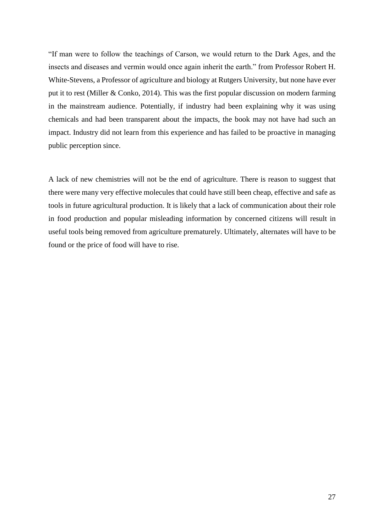"If man were to follow the teachings of Carson, we would return to the Dark Ages, and the insects and diseases and vermin would once again inherit the earth." from Professor Robert H. White-Stevens, a Professor of agriculture and biology at Rutgers University, but none have ever put it to rest (Miller & Conko, 2014). This was the first popular discussion on modern farming in the mainstream audience. Potentially, if industry had been explaining why it was using chemicals and had been transparent about the impacts, the book may not have had such an impact. Industry did not learn from this experience and has failed to be proactive in managing public perception since.

A lack of new chemistries will not be the end of agriculture. There is reason to suggest that there were many very effective molecules that could have still been cheap, effective and safe as tools in future agricultural production. It is likely that a lack of communication about their role in food production and popular misleading information by concerned citizens will result in useful tools being removed from agriculture prematurely. Ultimately, alternates will have to be found or the price of food will have to rise.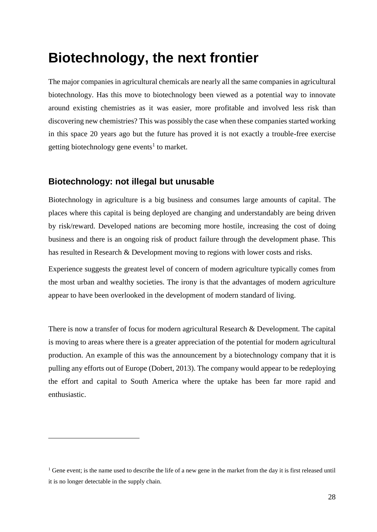# <span id="page-27-0"></span>**Biotechnology, the next frontier**

The major companies in agricultural chemicals are nearly all the same companies in agricultural biotechnology. Has this move to biotechnology been viewed as a potential way to innovate around existing chemistries as it was easier, more profitable and involved less risk than discovering new chemistries? This was possibly the case when these companies started working in this space 20 years ago but the future has proved it is not exactly a trouble-free exercise getting biotechnology gene events<sup>1</sup> to market.

#### <span id="page-27-1"></span>**Biotechnology: not illegal but unusable**

 $\overline{a}$ 

Biotechnology in agriculture is a big business and consumes large amounts of capital. The places where this capital is being deployed are changing and understandably are being driven by risk/reward. Developed nations are becoming more hostile, increasing the cost of doing business and there is an ongoing risk of product failure through the development phase. This has resulted in Research & Development moving to regions with lower costs and risks.

Experience suggests the greatest level of concern of modern agriculture typically comes from the most urban and wealthy societies. The irony is that the advantages of modern agriculture appear to have been overlooked in the development of modern standard of living.

There is now a transfer of focus for modern agricultural Research & Development. The capital is moving to areas where there is a greater appreciation of the potential for modern agricultural production. An example of this was the announcement by a biotechnology company that it is pulling any efforts out of Europe (Dobert, 2013). The company would appear to be redeploying the effort and capital to South America where the uptake has been far more rapid and enthusiastic.

<sup>&</sup>lt;sup>1</sup> Gene event; is the name used to describe the life of a new gene in the market from the day it is first released until it is no longer detectable in the supply chain.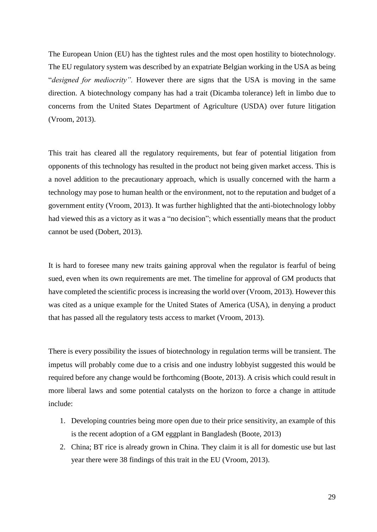The European Union (EU) has the tightest rules and the most open hostility to biotechnology. The EU regulatory system was described by an expatriate Belgian working in the USA as being "*designed for mediocrity".* However there are signs that the USA is moving in the same direction. A biotechnology company has had a trait (Dicamba tolerance) left in limbo due to concerns from the United States Department of Agriculture (USDA) over future litigation (Vroom, 2013).

This trait has cleared all the regulatory requirements, but fear of potential litigation from opponents of this technology has resulted in the product not being given market access. This is a novel addition to the precautionary approach, which is usually concerned with the harm a technology may pose to human health or the environment, not to the reputation and budget of a government entity (Vroom, 2013). It was further highlighted that the anti-biotechnology lobby had viewed this as a victory as it was a "no decision"; which essentially means that the product cannot be used (Dobert, 2013).

It is hard to foresee many new traits gaining approval when the regulator is fearful of being sued, even when its own requirements are met. The timeline for approval of GM products that have completed the scientific process is increasing the world over (Vroom, 2013). However this was cited as a unique example for the United States of America (USA), in denying a product that has passed all the regulatory tests access to market (Vroom, 2013).

There is every possibility the issues of biotechnology in regulation terms will be transient. The impetus will probably come due to a crisis and one industry lobbyist suggested this would be required before any change would be forthcoming (Boote, 2013). A crisis which could result in more liberal laws and some potential catalysts on the horizon to force a change in attitude include:

- 1. Developing countries being more open due to their price sensitivity, an example of this is the recent adoption of a GM eggplant in Bangladesh (Boote, 2013)
- 2. China; BT rice is already grown in China. They claim it is all for domestic use but last year there were 38 findings of this trait in the EU (Vroom, 2013).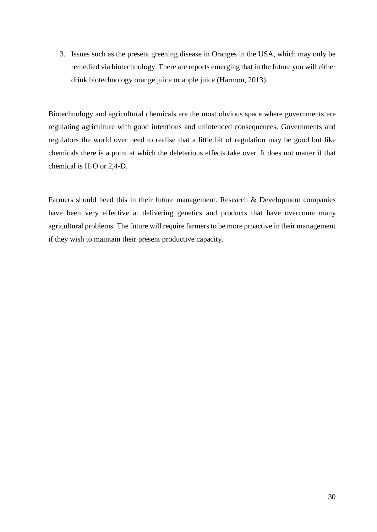3. Issues such as the present greening disease in Oranges in the USA, which may only be remedied via biotechnology. There are [reports](http://www.nytimes.com/2013/07/28/science/a-race-to-save-the-orange-by-altering-its-dna.html?_r=0) emerging that in the future you will either drink biotechnology orange juice or apple juice (Harmon, 2013).

Biotechnology and agricultural chemicals are the most obvious space where governments are regulating agriculture with good intentions and unintended consequences. Governments and regulators the world over need to realise that a little bit of regulation may be good but like chemicals there is a point at which the deleterious effects take over. It does not matter if that chemical is  $H_2O$  or 2,4-D.

Farmers should heed this in their future management. Research & Development companies have been very effective at delivering genetics and products that have overcome many agricultural problems. The future will require farmers to be more proactive in their management if they wish to maintain their present productive capacity.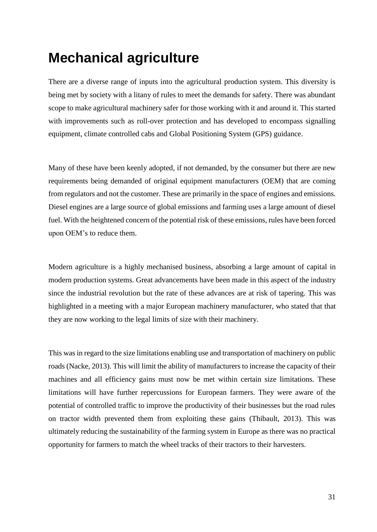# <span id="page-30-0"></span>**Mechanical agriculture**

There are a diverse range of inputs into the agricultural production system. This diversity is being met by society with a litany of rules to meet the demands for safety. There was abundant scope to make agricultural machinery safer for those working with it and around it. This started with improvements such as roll-over protection and has developed to encompass signalling equipment, climate controlled cabs and Global Positioning System (GPS) guidance.

Many of these have been keenly adopted, if not demanded, by the consumer but there are new requirements being demanded of original equipment manufacturers (OEM) that are coming from regulators and not the customer. These are primarily in the space of engines and emissions. Diesel engines are a large source of global emissions and farming uses a large amount of diesel fuel. With the heightened concern of the potential risk of these emissions, rules have been forced upon OEM's to reduce them.

Modern agriculture is a highly mechanised business, absorbing a large amount of capital in modern production systems. Great advancements have been made in this aspect of the industry since the industrial revolution but the rate of these advances are at risk of tapering. This was highlighted in a meeting with a major European machinery manufacturer, who stated that that they are now working to the legal limits of size with their machinery.

This was in regard to the size limitations enabling use and transportation of machinery on public roads (Nacke, 2013). This will limit the ability of manufacturers to increase the capacity of their machines and all efficiency gains must now be met within certain size limitations. These limitations will have further repercussions for European farmers. They were aware of the potential of controlled traffic to improve the productivity of their businesses but the road rules on tractor width prevented them from exploiting these gains (Thibault, 2013). This was ultimately reducing the sustainability of the farming system in Europe as there was no practical opportunity for farmers to match the wheel tracks of their tractors to their harvesters.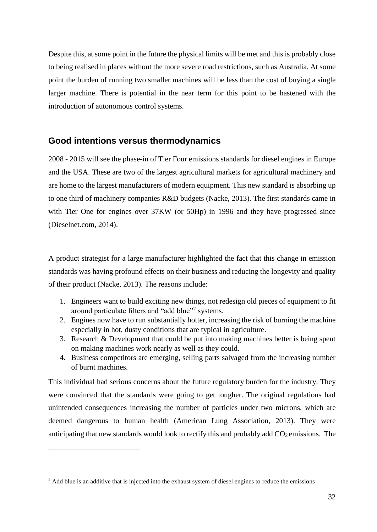Despite this, at some point in the future the physical limits will be met and this is probably close to being realised in places without the more severe road restrictions, such as Australia. At some point the burden of running two smaller machines will be less than the cost of buying a single larger machine. There is potential in the near term for this point to be hastened with the introduction of autonomous control systems.

#### <span id="page-31-0"></span>**Good intentions versus thermodynamics**

2008 - 2015 will see the phase-in of Tier Four emissions standards for diesel engines in Europe and the USA. These are two of the largest agricultural markets for agricultural machinery and are home to the largest manufacturers of modern equipment. This new standard is absorbing up to one third of machinery companies R&D budgets (Nacke, 2013). The first standards came in with Tier One for engines over 37KW (or 50Hp) in 1996 and they have progressed since (Dieselnet.com, 2014).

A product strategist for a large manufacturer highlighted the fact that this change in emission standards was having profound effects on their business and reducing the longevity and quality of their product (Nacke, 2013). The reasons include:

- 1. Engineers want to build exciting new things, not redesign old pieces of equipment to fit around particulate filters and "add blue"<sup>2</sup> systems.
- 2. Engines now have to run substantially hotter, increasing the risk of burning the machine especially in hot, dusty conditions that are typical in agriculture.
- 3. Research & Development that could be put into making machines better is being spent on making machines work nearly as well as they could.
- 4. Business competitors are emerging, selling parts salvaged from the increasing number of burnt machines.

This individual had serious concerns about the future regulatory burden for the industry. They were convinced that the standards were going to get tougher. The original regulations had unintended consequences increasing the number of particles under two microns, which are deemed dangerous to human health (American Lung Association, 2013). They were anticipating that new standards would look to rectify this and probably add  $CO<sub>2</sub>$  emissions. The

 $\overline{a}$ 

<sup>&</sup>lt;sup>2</sup> Add blue is an additive that is injected into the exhaust system of diesel engines to reduce the emissions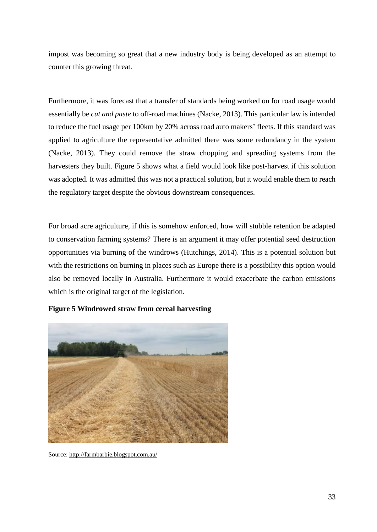impost was becoming so great that a new industry body is being developed as an attempt to counter this growing threat.

Furthermore, it was forecast that a transfer of standards being worked on for road usage would essentially be *cut and paste* to off-road machines (Nacke, 2013). This particular law is intended to reduce the fuel usage per 100km by 20% across road auto makers' fleets. If this standard was applied to agriculture the representative admitted there was some redundancy in the system (Nacke, 2013). They could remove the straw chopping and spreading systems from the harvesters they built. Figure 5 shows what a field would look like post-harvest if this solution was adopted. It was admitted this was not a practical solution, but it would enable them to reach the regulatory target despite the obvious downstream consequences.

For broad acre agriculture, if this is somehow enforced, how will stubble retention be adapted to conservation farming systems? There is an argument it may offer potential seed destruction opportunities via burning of the windrows (Hutchings, 2014). This is a potential solution but with the restrictions on burning in places such as Europe there is a possibility this option would also be removed locally in Australia. Furthermore it would exacerbate the carbon emissions which is the original target of the legislation.

<span id="page-32-0"></span>

**Figure 5 Windrowed straw from cereal harvesting**

Source[: http://farmbarbie.blogspot.com.au/](http://farmbarbie.blogspot.com.au/)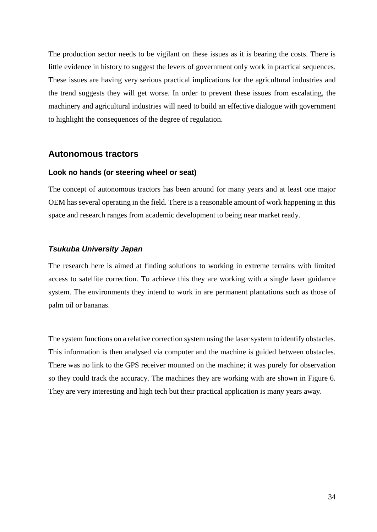The production sector needs to be vigilant on these issues as it is bearing the costs. There is little evidence in history to suggest the levers of government only work in practical sequences. These issues are having very serious practical implications for the agricultural industries and the trend suggests they will get worse. In order to prevent these issues from escalating, the machinery and agricultural industries will need to build an effective dialogue with government to highlight the consequences of the degree of regulation.

#### <span id="page-33-0"></span>**Autonomous tractors**

#### <span id="page-33-1"></span>**Look no hands (or steering wheel or seat)**

The concept of autonomous tractors has been around for many years and at least one major OEM has several operating in the field. There is a reasonable amount of work happening in this space and research ranges from academic development to being near market ready.

#### *Tsukuba University Japan*

The research here is aimed at finding solutions to working in extreme terrains with limited access to satellite correction. To achieve this they are working with a single laser guidance system. The environments they intend to work in are permanent plantations such as those of palm oil or bananas.

The system functions on a relative correction system using the laser system to identify obstacles. This information is then analysed via computer and the machine is guided between obstacles. There was no link to the GPS receiver mounted on the machine; it was purely for observation so they could track the accuracy. The machines they are working with are shown in Figure 6. They are very interesting and high tech but their practical application is many years away.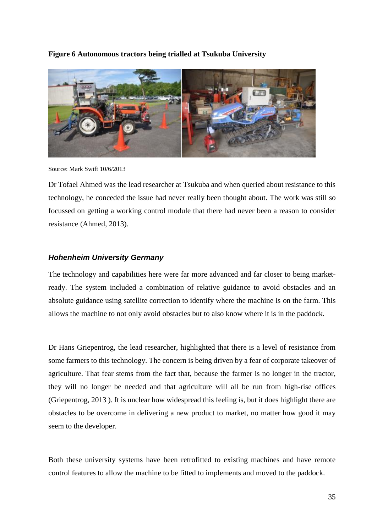<span id="page-34-0"></span>**Figure 6 Autonomous tractors being trialled at Tsukuba University**



Source: Mark Swift 10/6/2013

Dr Tofael Ahmed was the lead researcher at Tsukuba and when queried about resistance to this technology, he conceded the issue had never really been thought about. The work was still so focussed on getting a working control module that there had never been a reason to consider resistance (Ahmed, 2013).

#### *Hohenheim University Germany*

The technology and capabilities here were far more advanced and far closer to being marketready. The system included a combination of relative guidance to avoid obstacles and an absolute guidance using satellite correction to identify where the machine is on the farm. This allows the machine to not only avoid obstacles but to also know where it is in the paddock.

Dr Hans Griepentrog, the lead researcher, highlighted that there is a level of resistance from some farmers to this technology. The concern is being driven by a fear of corporate takeover of agriculture. That fear stems from the fact that, because the farmer is no longer in the tractor, they will no longer be needed and that agriculture will all be run from high-rise offices (Griepentrog, 2013 ). It is unclear how widespread this feeling is, but it does highlight there are obstacles to be overcome in delivering a new product to market, no matter how good it may seem to the developer.

Both these university systems have been retrofitted to existing machines and have remote control features to allow the machine to be fitted to implements and moved to the paddock.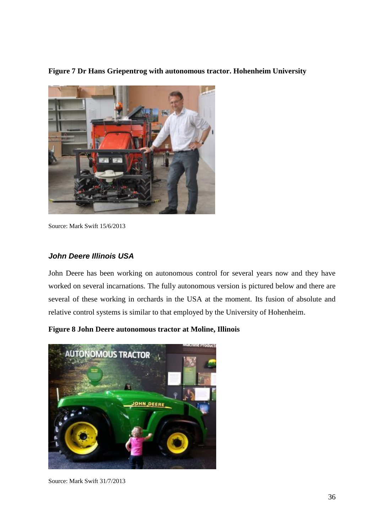<span id="page-35-0"></span>**Figure 7 Dr Hans Griepentrog with autonomous tractor. Hohenheim University**



Source: Mark Swift 15/6/2013

#### *John Deere Illinois USA*

John Deere has been working on autonomous control for several years now and they have worked on several incarnations. The fully autonomous version is pictured below and there are several of these working in orchards in the USA at the moment. Its fusion of absolute and relative control systems is similar to that employed by the University of Hohenheim.

<span id="page-35-1"></span>**Figure 8 John Deere autonomous tractor at Moline, Illinois** 



Source: Mark Swift 31/7/2013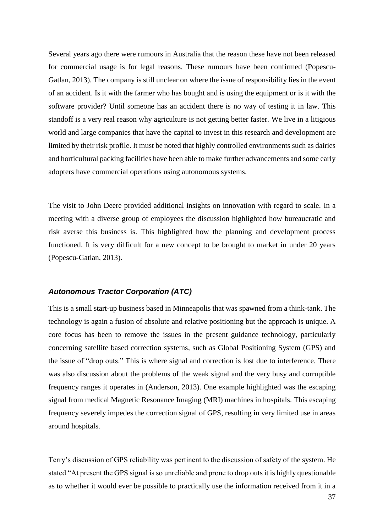Several years ago there were rumours in Australia that the reason these have not been released for commercial usage is for legal reasons. These rumours have been confirmed (Popescu-Gatlan, 2013). The company is still unclear on where the issue of responsibility lies in the event of an accident. Is it with the farmer who has bought and is using the equipment or is it with the software provider? Until someone has an accident there is no way of testing it in law. This standoff is a very real reason why agriculture is not getting better faster. We live in a litigious world and large companies that have the capital to invest in this research and development are limited by their risk profile. It must be noted that highly controlled environments such as dairies and horticultural packing facilities have been able to make further advancements and some early adopters have commercial operations using autonomous systems.

The visit to John Deere provided additional insights on innovation with regard to scale. In a meeting with a diverse group of employees the discussion highlighted how bureaucratic and risk averse this business is. This highlighted how the planning and development process functioned. It is very difficult for a new concept to be brought to market in under 20 years (Popescu-Gatlan, 2013).

#### *Autonomous Tractor Corporation (ATC)*

This is a small start-up business based in Minneapolis that was spawned from a think-tank. The technology is again a fusion of absolute and relative positioning but the approach is unique. A core focus has been to remove the issues in the present guidance technology, particularly concerning satellite based correction systems, such as Global Positioning System (GPS) and the issue of "drop outs." This is where signal and correction is lost due to interference. There was also discussion about the problems of the weak signal and the very busy and corruptible frequency ranges it operates in (Anderson, 2013). One example highlighted was the escaping signal from medical Magnetic Resonance Imaging (MRI) machines in hospitals. This escaping frequency severely impedes the correction signal of GPS, resulting in very limited use in areas around hospitals.

Terry's discussion of GPS reliability was pertinent to the discussion of safety of the system. He stated "At present the GPS signal is so unreliable and prone to drop outs it is highly questionable as to whether it would ever be possible to practically use the information received from it in a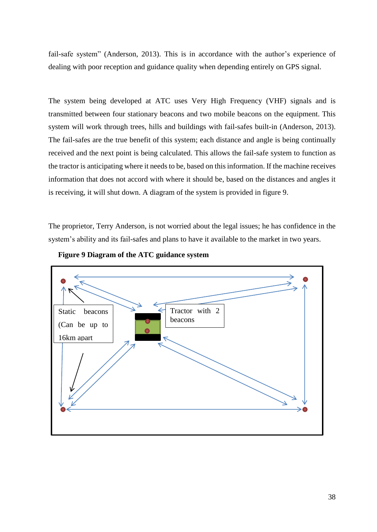fail-safe system" (Anderson, 2013). This is in accordance with the author's experience of dealing with poor reception and guidance quality when depending entirely on GPS signal.

The system being developed at ATC uses Very High Frequency (VHF) signals and is transmitted between four stationary beacons and two mobile beacons on the equipment. This system will work through trees, hills and buildings with fail-safes built-in (Anderson, 2013). The fail-safes are the true benefit of this system; each distance and angle is being continually received and the next point is being calculated. This allows the fail-safe system to function as the tractor is anticipating where it needs to be, based on this information. If the machine receives information that does not accord with where it should be, based on the distances and angles it is receiving, it will shut down. A diagram of the system is provided in figure 9.

The proprietor, Terry Anderson, is not worried about the legal issues; he has confidence in the system's ability and its fail-safes and plans to have it available to the market in two years.



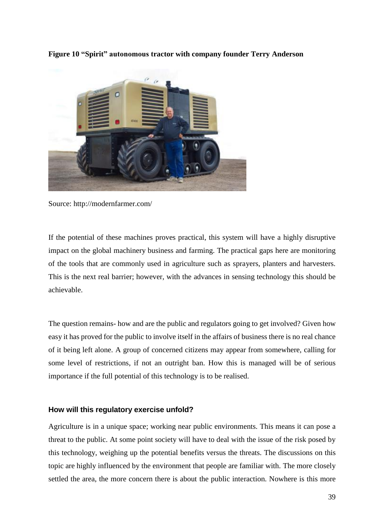

<span id="page-38-1"></span>**Figure 10 "Spirit" autonomous tractor with company founder Terry Anderson**

Source: http://modernfarmer.com/

If the potential of these machines proves practical, this system will have a highly disruptive impact on the global machinery business and farming. The practical gaps here are monitoring of the tools that are commonly used in agriculture such as sprayers, planters and harvesters. This is the next real barrier; however, with the advances in sensing technology this should be achievable.

The question remains- how and are the public and regulators going to get involved? Given how easy it has proved for the public to involve itself in the affairs of business there is no real chance of it being left alone. A group of concerned citizens may appear from somewhere, calling for some level of restrictions, if not an outright ban. How this is managed will be of serious importance if the full potential of this technology is to be realised.

#### <span id="page-38-0"></span>**How will this regulatory exercise unfold?**

Agriculture is in a unique space; working near public environments. This means it can pose a threat to the public. At some point society will have to deal with the issue of the risk posed by this technology, weighing up the potential benefits versus the threats. The discussions on this topic are highly influenced by the environment that people are familiar with. The more closely settled the area, the more concern there is about the public interaction. Nowhere is this more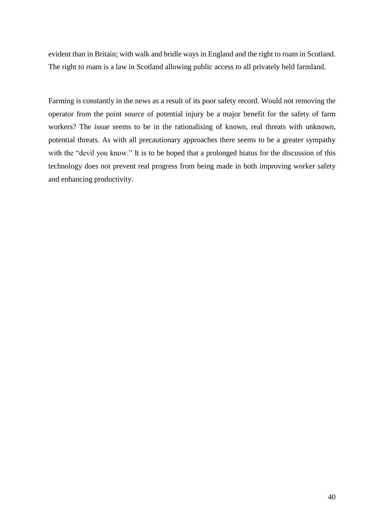evident than in Britain; with walk and bridle ways in England and the right to roam in Scotland. The right to roam is a law in Scotland allowing public access to all privately held farmland.

Farming is constantly in the news as a result of its poor safety record. Would not removing the operator from the point source of potential injury be a major benefit for the safety of farm workers? The issue seems to be in the rationalising of known, real threats with unknown, potential threats. As with all precautionary approaches there seems to be a greater sympathy with the "devil you know." It is to be hoped that a prolonged hiatus for the discussion of this technology does not prevent real progress from being made in both improving worker safety and enhancing productivity.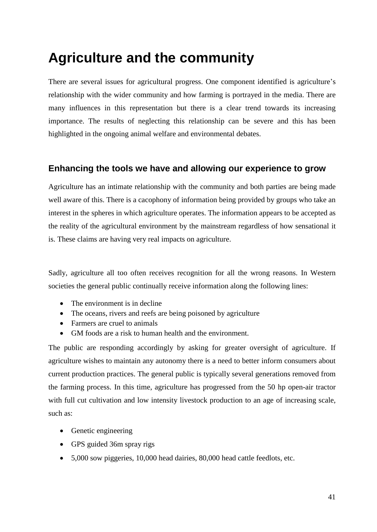# <span id="page-40-0"></span>**Agriculture and the community**

There are several issues for agricultural progress. One component identified is agriculture's relationship with the wider community and how farming is portrayed in the media. There are many influences in this representation but there is a clear trend towards its increasing importance. The results of neglecting this relationship can be severe and this has been highlighted in the ongoing animal welfare and environmental debates.

#### <span id="page-40-1"></span>**Enhancing the tools we have and allowing our experience to grow**

Agriculture has an intimate relationship with the community and both parties are being made well aware of this. There is a cacophony of information being provided by groups who take an interest in the spheres in which agriculture operates. The information appears to be accepted as the reality of the agricultural environment by the mainstream regardless of how sensational it is. These claims are having very real impacts on agriculture.

Sadly, agriculture all too often receives recognition for all the wrong reasons. In Western societies the general public continually receive information along the following lines:

- The environment is in decline
- The oceans, rivers and reefs are being poisoned by agriculture
- Farmers are cruel to animals
- GM foods are a risk to human health and the environment.

The public are responding accordingly by asking for greater oversight of agriculture. If agriculture wishes to maintain any autonomy there is a need to better inform consumers about current production practices. The general public is typically several generations removed from the farming process. In this time, agriculture has progressed from the 50 hp open-air tractor with full cut cultivation and low intensity livestock production to an age of increasing scale, such as:

- Genetic engineering
- GPS guided 36m spray rigs
- 5,000 sow piggeries, 10,000 head dairies, 80,000 head cattle feedlots, etc.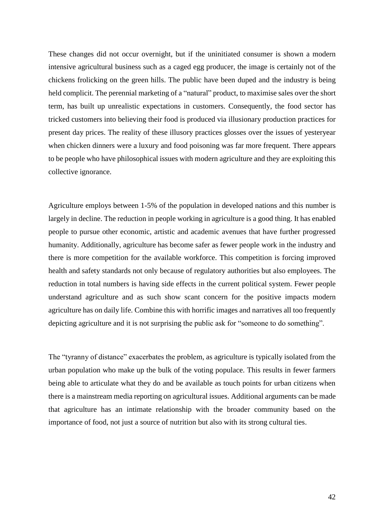These changes did not occur overnight, but if the uninitiated consumer is shown a modern intensive agricultural business such as a caged egg producer, the image is certainly not of the chickens frolicking on the green hills. The public have been duped and the industry is being held complicit. The perennial marketing of a "natural" product, to maximise sales over the short term, has built up unrealistic expectations in customers. Consequently, the food sector has tricked customers into believing their food is produced via illusionary production practices for present day prices. The reality of these illusory practices glosses over the issues of yesteryear when chicken dinners were a luxury and food poisoning was far more frequent. There appears to be people who have philosophical issues with modern agriculture and they are exploiting this collective ignorance.

Agriculture employs between 1-5% of the population in developed nations and this number is largely in decline. The reduction in people working in agriculture is a good thing. It has enabled people to pursue other economic, artistic and academic avenues that have further progressed humanity. Additionally, agriculture has become safer as fewer people work in the industry and there is more competition for the available workforce. This competition is forcing improved health and safety standards not only because of regulatory authorities but also employees. The reduction in total numbers is having side effects in the current political system. Fewer people understand agriculture and as such show scant concern for the positive impacts modern agriculture has on daily life. Combine this with horrific images and narratives all too frequently depicting agriculture and it is not surprising the public ask for "someone to do something".

The "tyranny of distance" exacerbates the problem, as agriculture is typically isolated from the urban population who make up the bulk of the voting populace. This results in fewer farmers being able to articulate what they do and be available as touch points for urban citizens when there is a mainstream media reporting on agricultural issues. Additional arguments can be made that agriculture has an intimate relationship with the broader community based on the importance of food, not just a source of nutrition but also with its strong cultural ties.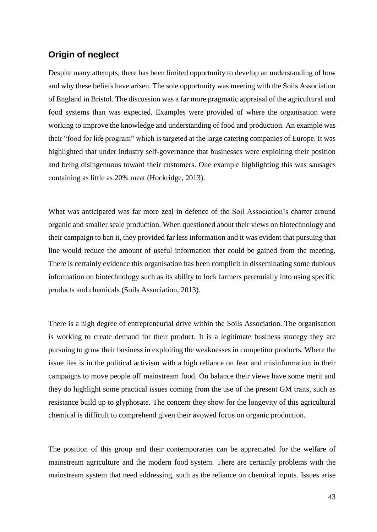#### <span id="page-42-0"></span>**Origin of neglect**

Despite many attempts, there has been limited opportunity to develop an understanding of how and why these beliefs have arisen. The sole opportunity was meeting with the Soils Association of England in Bristol. The discussion was a far more pragmatic appraisal of the agricultural and food systems than was expected. Examples were provided of where the organisation were working to improve the knowledge and understanding of food and production. An example was their "food for life program" which is targeted at the large catering companies of Europe. It was highlighted that under industry self-governance that businesses were exploiting their position and being disingenuous toward their customers. One example highlighting this was sausages containing as little as 20% meat (Hockridge, 2013).

What was anticipated was far more zeal in defence of the Soil Association's charter around organic and smaller scale production. When questioned about their views on biotechnology and their campaign to ban it, they provided far less information and it was evident that pursuing that line would reduce the amount of useful information that could be gained from the meeting. There is certainly evidence this organisation has been complicit in disseminating some dubious information on biotechnology such as its ability to lock farmers perennially into using specific products and chemicals (Soils Association, 2013).

There is a high degree of entrepreneurial drive within the Soils Association. The organisation is working to create demand for their product. It is a legitimate business strategy they are pursuing to grow their business in exploiting the weaknesses in competitor products. Where the issue lies is in the political activism with a high reliance on fear and misinformation in their campaigns to move people off mainstream food. On balance their views have some merit and they do highlight some practical issues coming from the use of the present GM traits, such as resistance build up to glyphosate. The concern they show for the longevity of this agricultural chemical is difficult to comprehend given their avowed focus on organic production.

The position of this group and their contemporaries can be appreciated for the welfare of mainstream agriculture and the modern food system. There are certainly problems with the mainstream system that need addressing, such as the reliance on chemical inputs. Issues arise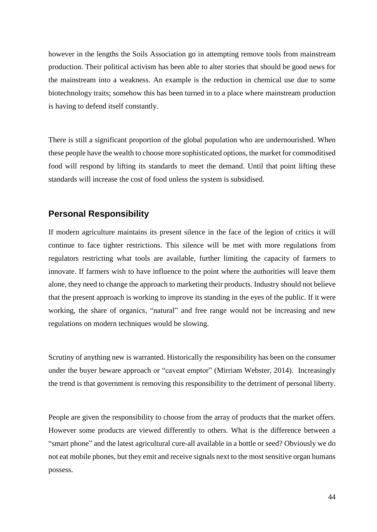however in the lengths the Soils Association go in attempting remove tools from mainstream production. Their political activism has been able to alter stories that should be good news for the mainstream into a weakness. An example is the reduction in chemical use due to some biotechnology traits; somehow this has been turned in to a place where mainstream production is having to defend itself constantly.

There is still a significant proportion of the global population who are undernourished. When these people have the wealth to choose more sophisticated options, the market for commoditised food will respond by lifting its standards to meet the demand. Until that point lifting these standards will increase the cost of food unless the system is subsidised.

#### <span id="page-43-0"></span>**Personal Responsibility**

If modern agriculture maintains its present silence in the face of the legion of critics it will continue to face tighter restrictions. This silence will be met with more regulations from regulators restricting what tools are available, further limiting the capacity of farmers to innovate. If farmers wish to have influence to the point where the authorities will leave them alone, they need to change the approach to marketing their products. Industry should not believe that the present approach is working to improve its standing in the eyes of the public. If it were working, the share of organics, "natural" and free range would not be increasing and new regulations on modern techniques would be slowing.

Scrutiny of anything new is warranted. Historically the responsibility has been on the consumer under the buyer beware approach or "caveat emptor" (Mirriam Webster, 2014). Increasingly the trend is that government is removing this responsibility to the detriment of personal liberty.

People are given the responsibility to choose from the array of products that the market offers. However some products are viewed differently to others. What is the difference between a "smart phone" and the latest agricultural cure-all available in a bottle or seed? Obviously we do not eat mobile phones, but they emit and receive signals next to the most sensitive organ humans possess.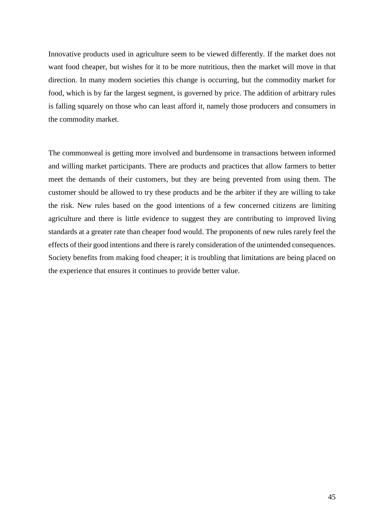Innovative products used in agriculture seem to be viewed differently. If the market does not want food cheaper, but wishes for it to be more nutritious, then the market will move in that direction. In many modern societies this change is occurring, but the commodity market for food, which is by far the largest segment, is governed by price. The addition of arbitrary rules is falling squarely on those who can least afford it, namely those producers and consumers in the commodity market.

The commonweal is getting more involved and burdensome in transactions between informed and willing market participants. There are products and practices that allow farmers to better meet the demands of their customers, but they are being prevented from using them. The customer should be allowed to try these products and be the arbiter if they are willing to take the risk. New rules based on the good intentions of a few concerned citizens are limiting agriculture and there is little evidence to suggest they are contributing to improved living standards at a greater rate than cheaper food would. The proponents of new rules rarely feel the effects of their good intentions and there is rarely consideration of the unintended consequences. Society benefits from making food cheaper; it is troubling that limitations are being placed on the experience that ensures it continues to provide better value.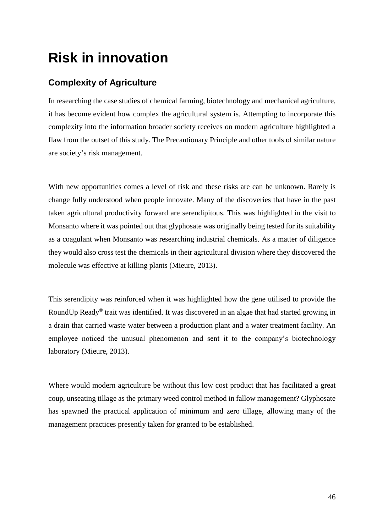# <span id="page-45-0"></span>**Risk in innovation**

#### <span id="page-45-1"></span>**Complexity of Agriculture**

In researching the case studies of chemical farming, biotechnology and mechanical agriculture, it has become evident how complex the agricultural system is. Attempting to incorporate this complexity into the information broader society receives on modern agriculture highlighted a flaw from the outset of this study. The Precautionary Principle and other tools of similar nature are society's risk management.

With new opportunities comes a level of risk and these risks are can be unknown. Rarely is change fully understood when people innovate. Many of the discoveries that have in the past taken agricultural productivity forward are serendipitous. This was highlighted in the visit to Monsanto where it was pointed out that glyphosate was originally being tested for its suitability as a coagulant when Monsanto was researching industrial chemicals. As a matter of diligence they would also cross test the chemicals in their agricultural division where they discovered the molecule was effective at killing plants (Mieure, 2013).

This serendipity was reinforced when it was highlighted how the gene utilised to provide the RoundUp Ready® trait was identified. It was discovered in an algae that had started growing in a drain that carried waste water between a production plant and a water treatment facility. An employee noticed the unusual phenomenon and sent it to the company's biotechnology laboratory (Mieure, 2013).

Where would modern agriculture be without this low cost product that has facilitated a great coup, unseating tillage as the primary weed control method in fallow management? Glyphosate has spawned the practical application of minimum and zero tillage, allowing many of the management practices presently taken for granted to be established.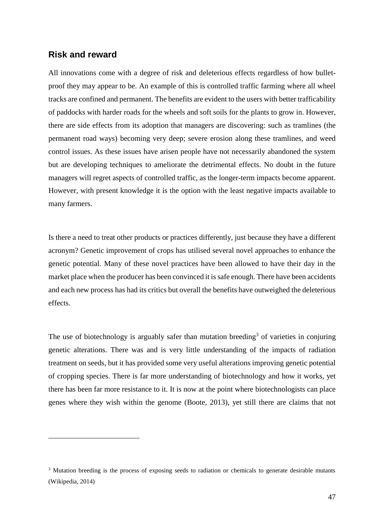#### <span id="page-46-0"></span>**Risk and reward**

 $\overline{a}$ 

All innovations come with a degree of risk and deleterious effects regardless of how bulletproof they may appear to be. An example of this is controlled traffic farming where all wheel tracks are confined and permanent. The benefits are evident to the users with better trafficability of paddocks with harder roads for the wheels and soft soils for the plants to grow in. However, there are side effects from its adoption that managers are discovering: such as tramlines (the permanent road ways) becoming very deep; severe erosion along these tramlines, and weed control issues. As these issues have arisen people have not necessarily abandoned the system but are developing techniques to ameliorate the detrimental effects. No doubt in the future managers will regret aspects of controlled traffic, as the longer-term impacts become apparent. However, with present knowledge it is the option with the least negative impacts available to many farmers.

Is there a need to treat other products or practices differently, just because they have a different acronym? Genetic improvement of crops has utilised several novel approaches to enhance the genetic potential. Many of these novel practices have been allowed to have their day in the market place when the producer has been convinced it is safe enough. There have been accidents and each new process has had its critics but overall the benefits have outweighed the deleterious effects.

The use of biotechnology is arguably safer than mutation breeding<sup>3</sup> of varieties in conjuring genetic alterations. There was and is very little understanding of the impacts of radiation treatment on seeds, but it has provided some very useful alterations improving genetic potential of cropping species. There is far more understanding of biotechnology and how it works, yet there has been far more resistance to it. It is now at the point where biotechnologists can place genes where they wish within the genome (Boote, 2013), yet still there are claims that not

<sup>&</sup>lt;sup>3</sup> Mutation breeding is the process of exposing seeds to radiation or chemicals to generate desirable mutants (Wikipedia, 2014)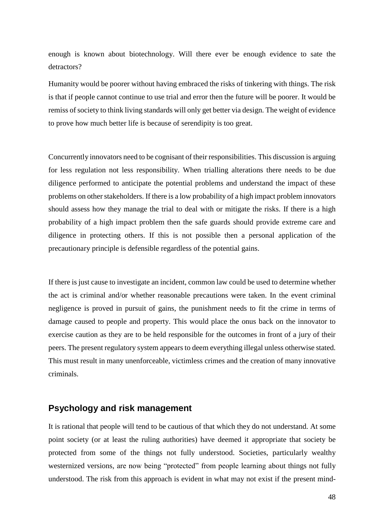enough is known about biotechnology. Will there ever be enough evidence to sate the detractors?

Humanity would be poorer without having embraced the risks of tinkering with things. The risk is that if people cannot continue to use trial and error then the future will be poorer. It would be remiss of society to think living standards will only get better via design. The weight of evidence to prove how much better life is because of serendipity is too great.

Concurrently innovators need to be cognisant of their responsibilities. This discussion is arguing for less regulation not less responsibility. When trialling alterations there needs to be due diligence performed to anticipate the potential problems and understand the impact of these problems on other stakeholders. If there is a low probability of a high impact problem innovators should assess how they manage the trial to deal with or mitigate the risks. If there is a high probability of a high impact problem then the safe guards should provide extreme care and diligence in protecting others. If this is not possible then a personal application of the precautionary principle is defensible regardless of the potential gains.

If there is just cause to investigate an incident, common law could be used to determine whether the act is criminal and/or whether reasonable precautions were taken. In the event criminal negligence is proved in pursuit of gains, the punishment needs to fit the crime in terms of damage caused to people and property. This would place the onus back on the innovator to exercise caution as they are to be held responsible for the outcomes in front of a jury of their peers. The present regulatory system appears to deem everything illegal unless otherwise stated. This must result in many unenforceable, victimless crimes and the creation of many innovative criminals.

#### <span id="page-47-0"></span>**Psychology and risk management**

It is rational that people will tend to be cautious of that which they do not understand. At some point society (or at least the ruling authorities) have deemed it appropriate that society be protected from some of the things not fully understood. Societies, particularly wealthy westernized versions, are now being "protected" from people learning about things not fully understood. The risk from this approach is evident in what may not exist if the present mind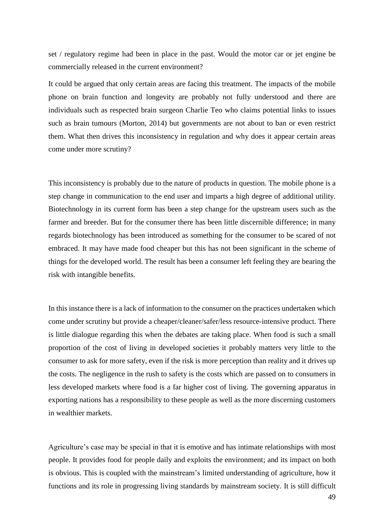set / regulatory regime had been in place in the past. Would the motor car or jet engine be commercially released in the current environment?

It could be argued that only certain areas are facing this treatment. The impacts of the mobile phone on brain function and longevity are probably not fully understood and there are individuals such as respected brain surgeon Charlie Teo who claims potential links to issues such as brain tumours (Morton, 2014) but governments are not about to ban or even restrict them. What then drives this inconsistency in regulation and why does it appear certain areas come under more scrutiny?

This inconsistency is probably due to the nature of products in question. The mobile phone is a step change in communication to the end user and imparts a high degree of additional utility. Biotechnology in its current form has been a step change for the upstream users such as the farmer and breeder. But for the consumer there has been little discernible difference; in many regards biotechnology has been introduced as something for the consumer to be scared of not embraced. It may have made food cheaper but this has not been significant in the scheme of things for the developed world. The result has been a consumer left feeling they are bearing the risk with intangible benefits.

In this instance there is a lack of information to the consumer on the practices undertaken which come under scrutiny but provide a cheaper/cleaner/safer/less resource-intensive product. There is little dialogue regarding this when the debates are taking place. When food is such a small proportion of the cost of living in developed societies it probably matters very little to the consumer to ask for more safety, even if the risk is more perception than reality and it drives up the costs. The negligence in the rush to safety is the costs which are passed on to consumers in less developed markets where food is a far higher cost of living. The governing apparatus in exporting nations has a responsibility to these people as well as the more discerning customers in wealthier markets.

Agriculture's case may be special in that it is emotive and has intimate relationships with most people. It provides food for people daily and exploits the environment; and its impact on both is obvious. This is coupled with the mainstream's limited understanding of agriculture, how it functions and its role in progressing living standards by mainstream society. It is still difficult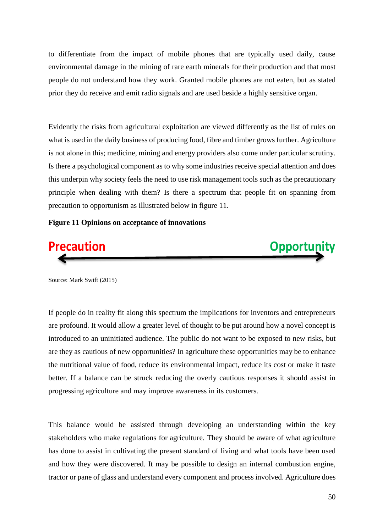to differentiate from the impact of mobile phones that are typically used daily, cause environmental damage in the mining of rare earth minerals for their production and that most people do not understand how they work. Granted mobile phones are not eaten, but as stated prior they do receive and emit radio signals and are used beside a highly sensitive organ.

Evidently the risks from agricultural exploitation are viewed differently as the list of rules on what is used in the daily business of producing food, fibre and timber grows further. Agriculture is not alone in this; medicine, mining and energy providers also come under particular scrutiny. Is there a psychological component as to why some industries receive special attention and does this underpin why society feels the need to use risk management tools such as the precautionary principle when dealing with them? Is there a spectrum that people fit on spanning from precaution to opportunism as illustrated below in figure 11.

#### <span id="page-49-0"></span>**Figure 11 Opinions on acceptance of innovations**





Source: Mark Swift (2015)

If people do in reality fit along this spectrum the implications for inventors and entrepreneurs are profound. It would allow a greater level of thought to be put around how a novel concept is introduced to an uninitiated audience. The public do not want to be exposed to new risks, but are they as cautious of new opportunities? In agriculture these opportunities may be to enhance the nutritional value of food, reduce its environmental impact, reduce its cost or make it taste better. If a balance can be struck reducing the overly cautious responses it should assist in progressing agriculture and may improve awareness in its customers.

This balance would be assisted through developing an understanding within the key stakeholders who make regulations for agriculture. They should be aware of what agriculture has done to assist in cultivating the present standard of living and what tools have been used and how they were discovered. It may be possible to design an internal combustion engine, tractor or pane of glass and understand every component and process involved. Agriculture does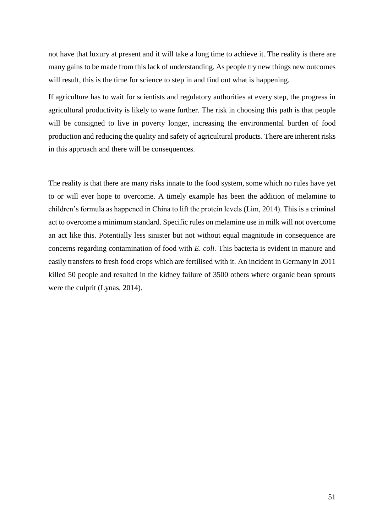not have that luxury at present and it will take a long time to achieve it. The reality is there are many gains to be made from this lack of understanding. As people try new things new outcomes will result, this is the time for science to step in and find out what is happening.

If agriculture has to wait for scientists and regulatory authorities at every step, the progress in agricultural productivity is likely to wane further. The risk in choosing this path is that people will be consigned to live in poverty longer, increasing the environmental burden of food production and reducing the quality and safety of agricultural products. There are inherent risks in this approach and there will be consequences.

The reality is that there are many risks innate to the food system, some which no rules have yet to or will ever hope to overcome. A timely example has been the addition of melamine to children's formula as happened in China to lift the protein levels (Lim, 2014). This is a criminal act to overcome a minimum standard. Specific rules on melamine use in milk will not overcome an act like this. Potentially less sinister but not without equal magnitude in consequence are concerns regarding contamination of food with *E. coli.* This bacteria is evident in manure and easily transfers to fresh food crops which are fertilised with it. An incident in Germany in 2011 killed 50 people and resulted in the kidney failure of 3500 others where organic bean sprouts were the culprit (Lynas, 2014).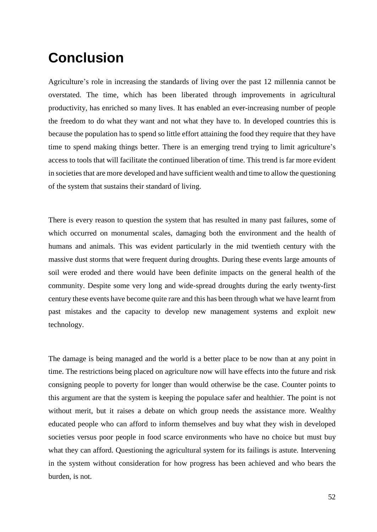# <span id="page-51-0"></span>**Conclusion**

Agriculture's role in increasing the standards of living over the past 12 millennia cannot be overstated. The time, which has been liberated through improvements in agricultural productivity, has enriched so many lives. It has enabled an ever-increasing number of people the freedom to do what they want and not what they have to. In developed countries this is because the population has to spend so little effort attaining the food they require that they have time to spend making things better. There is an emerging trend trying to limit agriculture's access to tools that will facilitate the continued liberation of time. This trend is far more evident in societies that are more developed and have sufficient wealth and time to allow the questioning of the system that sustains their standard of living.

There is every reason to question the system that has resulted in many past failures, some of which occurred on monumental scales, damaging both the environment and the health of humans and animals. This was evident particularly in the mid twentieth century with the massive dust storms that were frequent during droughts. During these events large amounts of soil were eroded and there would have been definite impacts on the general health of the community. Despite some very long and wide-spread droughts during the early twenty-first century these events have become quite rare and this has been through what we have learnt from past mistakes and the capacity to develop new management systems and exploit new technology.

The damage is being managed and the world is a better place to be now than at any point in time. The restrictions being placed on agriculture now will have effects into the future and risk consigning people to poverty for longer than would otherwise be the case. Counter points to this argument are that the system is keeping the populace safer and healthier. The point is not without merit, but it raises a debate on which group needs the assistance more. Wealthy educated people who can afford to inform themselves and buy what they wish in developed societies versus poor people in food scarce environments who have no choice but must buy what they can afford. Questioning the agricultural system for its failings is astute. Intervening in the system without consideration for how progress has been achieved and who bears the burden, is not.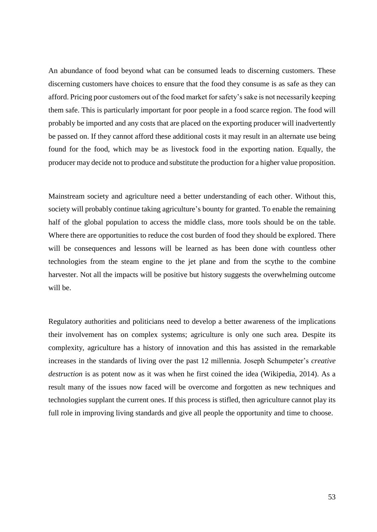An abundance of food beyond what can be consumed leads to discerning customers. These discerning customers have choices to ensure that the food they consume is as safe as they can afford. Pricing poor customers out of the food market for safety's sake is not necessarily keeping them safe. This is particularly important for poor people in a food scarce region. The food will probably be imported and any costs that are placed on the exporting producer will inadvertently be passed on. If they cannot afford these additional costs it may result in an alternate use being found for the food, which may be as livestock food in the exporting nation. Equally, the producer may decide not to produce and substitute the production for a higher value proposition.

Mainstream society and agriculture need a better understanding of each other. Without this, society will probably continue taking agriculture's bounty for granted. To enable the remaining half of the global population to access the middle class, more tools should be on the table. Where there are opportunities to reduce the cost burden of food they should be explored. There will be consequences and lessons will be learned as has been done with countless other technologies from the steam engine to the jet plane and from the scythe to the combine harvester. Not all the impacts will be positive but history suggests the overwhelming outcome will be.

Regulatory authorities and politicians need to develop a better awareness of the implications their involvement has on complex systems; agriculture is only one such area. Despite its complexity, agriculture has a history of innovation and this has assisted in the remarkable increases in the standards of living over the past 12 millennia. Joseph Schumpeter's *creative destruction* is as potent now as it was when he first coined the idea (Wikipedia, 2014). As a result many of the issues now faced will be overcome and forgotten as new techniques and technologies supplant the current ones. If this process is stifled, then agriculture cannot play its full role in improving living standards and give all people the opportunity and time to choose.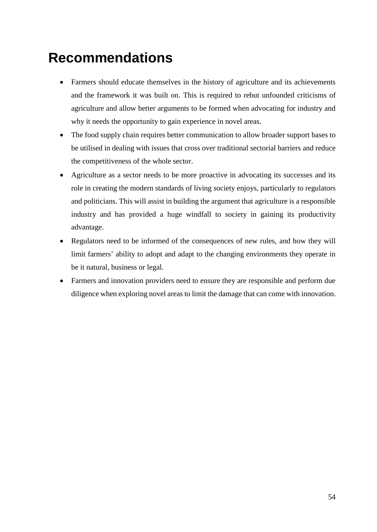# <span id="page-53-0"></span>**Recommendations**

- Farmers should educate themselves in the history of agriculture and its achievements and the framework it was built on. This is required to rebut unfounded criticisms of agriculture and allow better arguments to be formed when advocating for industry and why it needs the opportunity to gain experience in novel areas.
- The food supply chain requires better communication to allow broader support bases to be utilised in dealing with issues that cross over traditional sectorial barriers and reduce the competitiveness of the whole sector.
- Agriculture as a sector needs to be more proactive in advocating its successes and its role in creating the modern standards of living society enjoys, particularly to regulators and politicians. This will assist in building the argument that agriculture is a responsible industry and has provided a huge windfall to society in gaining its productivity advantage.
- Regulators need to be informed of the consequences of new rules, and how they will limit farmers' ability to adopt and adapt to the changing environments they operate in be it natural, business or legal.
- Farmers and innovation providers need to ensure they are responsible and perform due diligence when exploring novel areas to limit the damage that can come with innovation.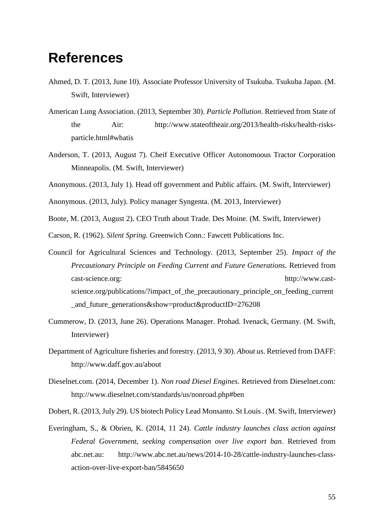### <span id="page-54-0"></span>**References**

- Ahmed, D. T. (2013, June 10). Associate Professor University of Tsukuba. Tsukuba Japan. (M. Swift, Interviewer)
- American Lung Association. (2013, September 30). *Particle Pollution*. Retrieved from State of the Air: http://www.stateoftheair.org/2013/health-risks/health-risksparticle.html#whatis
- Anderson, T. (2013, August 7). Cheif Executive Officer Autonomoous Tractor Corporation Minneapolis. (M. Swift, Interviewer)
- Anonymous. (2013, July 1). Head off government and Public affairs. (M. Swift, Interviewer)
- Anonymous. (2013, July). Policy manager Syngenta. (M. 2013, Interviewer)
- Boote, M. (2013, August 2). CEO Truth about Trade. Des Moine. (M. Swift, Interviewer)
- Carson, R. (1962). *Silent Spring.* Greenwich Conn.: Fawcett Publications Inc.
- Council for Agricultural Sciences and Technology. (2013, September 25). *Impact of the Precautionary Principle on Feeding Current and Future Generations.* Retrieved from cast-science.org: http://www.castscience.org/publications/?impact\_of\_the\_precautionary\_principle\_on\_feeding\_current \_and\_future\_generations&show=product&productID=276208
- Cummerow, D. (2013, June 26). Operations Manager. Prohad. Ivenack, Germany. (M. Swift, Interviewer)
- Department of Agriculture fisheries and forestry. (2013, 9 30). *About us*. Retrieved from DAFF: http://www.daff.gov.au/about
- Dieselnet.com. (2014, December 1). *Non road Diesel Engines*. Retrieved from Dieselnet.com: http://www.dieselnet.com/standards/us/nonroad.php#ben
- Dobert, R. (2013, July 29). US biotech Policy Lead Monsanto. St Louis . (M. Swift, Interviewer)
- Everingham, S., & Obrien, K. (2014, 11 24). *Cattle industry launches class action against Federal Government, seeking compensation over live export ban*. Retrieved from abc.net.au: http://www.abc.net.au/news/2014-10-28/cattle-industry-launches-classaction-over-live-export-ban/5845650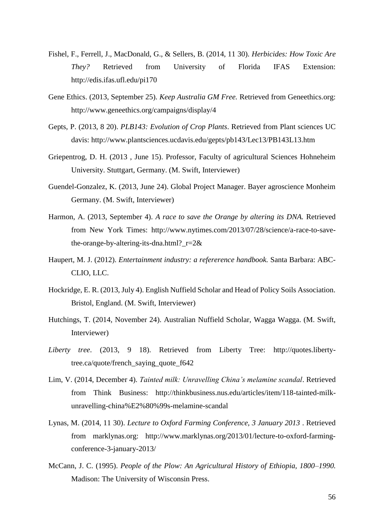- Fishel, F., Ferrell, J., MacDonald, G., & Sellers, B. (2014, 11 30). *Herbicides: How Toxic Are They?* Retrieved from University of Florida IFAS Extension: http://edis.ifas.ufl.edu/pi170
- Gene Ethics. (2013, September 25). *Keep Australia GM Free.* Retrieved from Geneethics.org: http://www.geneethics.org/campaigns/display/4
- Gepts, P. (2013, 8 20). *PLB143: Evolution of Crop Plants*. Retrieved from Plant sciences UC davis: http://www.plantsciences.ucdavis.edu/gepts/pb143/Lec13/PB143L13.htm
- Griepentrog, D. H. (2013 , June 15). Professor, Faculty of agricultural Sciences Hohneheim University. Stuttgart, Germany. (M. Swift, Interviewer)
- Guendel-Gonzalez, K. (2013, June 24). Global Project Manager. Bayer agroscience Monheim Germany. (M. Swift, Interviewer)
- Harmon, A. (2013, September 4). *A race to save the Orange by altering its DNA.* Retrieved from New York Times: http://www.nytimes.com/2013/07/28/science/a-race-to-savethe-orange-by-altering-its-dna.html? $r=2&$
- Haupert, M. J. (2012). *Entertainment industry: a refererence handbook.* Santa Barbara: ABC-CLIO, LLC.
- Hockridge, E. R. (2013, July 4). English Nuffield Scholar and Head of Policy Soils Association. Bristol, England. (M. Swift, Interviewer)
- Hutchings, T. (2014, November 24). Australian Nuffield Scholar, Wagga Wagga. (M. Swift, Interviewer)
- *Liberty tree*. (2013, 9 18). Retrieved from Liberty Tree: http://quotes.libertytree.ca/quote/french\_saying\_quote\_f642
- Lim, V. (2014, December 4). *Tainted milk: Unravelling China's melamine scandal*. Retrieved from Think Business: http://thinkbusiness.nus.edu/articles/item/118-tainted-milkunravelling-china%E2%80%99s-melamine-scandal
- Lynas, M. (2014, 11 30). *Lecture to Oxford Farming Conference, 3 January 2013* . Retrieved from marklynas.org: http://www.marklynas.org/2013/01/lecture-to-oxford-farmingconference-3-january-2013/
- McCann, J. C. (1995). *People of the Plow: An Agricultural History of Ethiopia, 1800–1990.* Madison: The University of Wisconsin Press.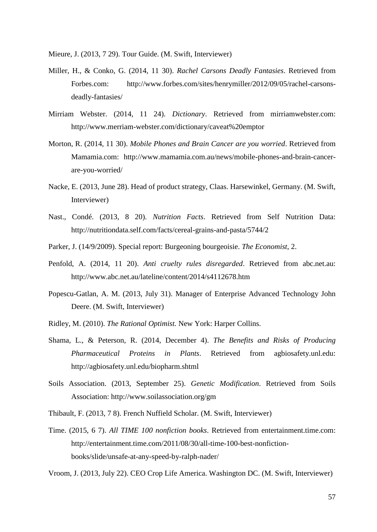Mieure, J. (2013, 7 29). Tour Guide. (M. Swift, Interviewer)

- Miller, H., & Conko, G. (2014, 11 30). *Rachel Carsons Deadly Fantasies*. Retrieved from Forbes.com: http://www.forbes.com/sites/henrymiller/2012/09/05/rachel-carsonsdeadly-fantasies/
- Mirriam Webster. (2014, 11 24). *Dictionary*. Retrieved from mirriamwebster.com: http://www.merriam-webster.com/dictionary/caveat%20emptor
- Morton, R. (2014, 11 30). *Mobile Phones and Brain Cancer are you worried*. Retrieved from Mamamia.com: http://www.mamamia.com.au/news/mobile-phones-and-brain-cancerare-you-worried/
- Nacke, E. (2013, June 28). Head of product strategy, Claas. Harsewinkel, Germany. (M. Swift, Interviewer)
- Nast., Condé. (2013, 8 20). *Nutrition Facts*. Retrieved from Self Nutrition Data: http://nutritiondata.self.com/facts/cereal-grains-and-pasta/5744/2
- Parker, J. (14/9/2009). Special report: Burgeoning bourgeoisie. *The Economist*, 2.
- Penfold, A. (2014, 11 20). *Anti cruelty rules disregarded*. Retrieved from abc.net.au: http://www.abc.net.au/lateline/content/2014/s4112678.htm
- Popescu-Gatlan, A. M. (2013, July 31). Manager of Enterprise Advanced Technology John Deere. (M. Swift, Interviewer)
- Ridley, M. (2010). *The Rational Optimist.* New York: Harper Collins.
- Shama, L., & Peterson, R. (2014, December 4). *The Benefits and Risks of Producing Pharmaceutical Proteins in Plants*. Retrieved from agbiosafety.unl.edu: http://agbiosafety.unl.edu/biopharm.shtml
- Soils Association. (2013, September 25). *Genetic Modification*. Retrieved from Soils Association: http://www.soilassociation.org/gm

Thibault, F. (2013, 7 8). French Nuffield Scholar. (M. Swift, Interviewer)

Time. (2015, 6 7). *All TIME 100 nonfiction books*. Retrieved from entertainment.time.com: http://entertainment.time.com/2011/08/30/all-time-100-best-nonfictionbooks/slide/unsafe-at-any-speed-by-ralph-nader/

Vroom, J. (2013, July 22). CEO Crop Life America. Washington DC. (M. Swift, Interviewer)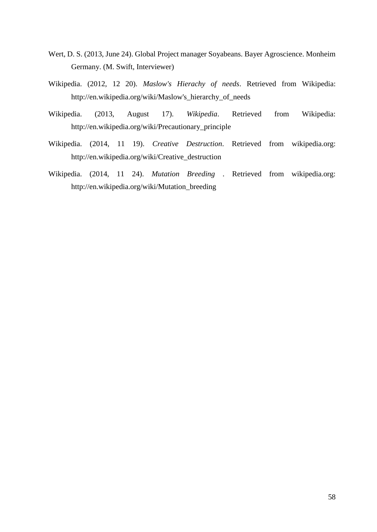- Wert, D. S. (2013, June 24). Global Project manager Soyabeans. Bayer Agroscience. Monheim Germany. (M. Swift, Interviewer)
- Wikipedia. (2012, 12 20). *Maslow's Hierachy of needs*. Retrieved from Wikipedia: http://en.wikipedia.org/wiki/Maslow's\_hierarchy\_of\_needs
- Wikipedia. (2013, August 17). *Wikipedia*. Retrieved from Wikipedia: http://en.wikipedia.org/wiki/Precautionary\_principle
- Wikipedia. (2014, 11 19). *Creative Destruction*. Retrieved from wikipedia.org: http://en.wikipedia.org/wiki/Creative\_destruction
- Wikipedia. (2014, 11 24). *Mutation Breeding* . Retrieved from wikipedia.org: http://en.wikipedia.org/wiki/Mutation\_breeding